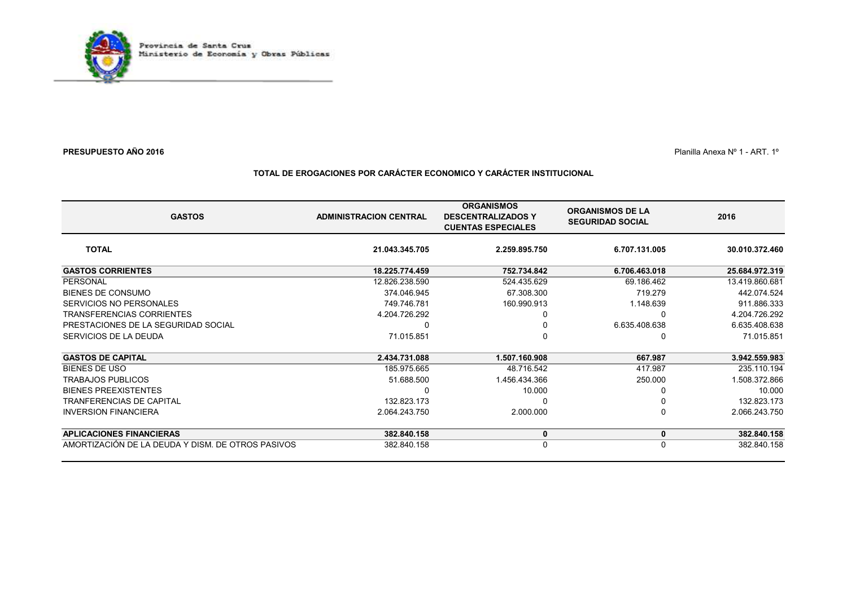

 $\blacksquare$  Planilla Anexa N° 1 - ART. 1°

### **TOTAL DE EROGACIONES POR CARÁCTER ECONOMICO Y CARÁCTER INSTITUCIONAL**

| <b>GASTOS</b>                                     | <b>ADMINISTRACION CENTRAL</b> | <b>ORGANISMOS</b><br><b>DESCENTRALIZADOS Y</b><br><b>CUENTAS ESPECIALES</b> | <b>ORGANISMOS DE LA</b><br><b>SEGURIDAD SOCIAL</b> | 2016           |
|---------------------------------------------------|-------------------------------|-----------------------------------------------------------------------------|----------------------------------------------------|----------------|
| <b>TOTAL</b>                                      | 21.043.345.705                | 2.259.895.750                                                               | 6.707.131.005                                      | 30.010.372.460 |
| <b>GASTOS CORRIENTES</b>                          | 18.225.774.459                | 752.734.842                                                                 | 6.706.463.018                                      | 25.684.972.319 |
| PERSONAL                                          | 12.826.238.590                | 524.435.629                                                                 | 69.186.462                                         | 13.419.860.681 |
| BIENES DE CONSUMO                                 | 374.046.945                   | 67.308.300                                                                  | 719.279                                            | 442.074.524    |
| SERVICIOS NO PERSONALES                           | 749.746.781                   | 160.990.913                                                                 | 1.148.639                                          | 911.886.333    |
| <b>TRANSFERENCIAS CORRIENTES</b>                  | 4.204.726.292                 |                                                                             | 0                                                  | 4.204.726.292  |
| PRESTACIONES DE LA SEGURIDAD SOCIAL               |                               |                                                                             | 6.635.408.638                                      | 6.635.408.638  |
| SERVICIOS DE LA DEUDA                             | 71.015.851                    |                                                                             | 0                                                  | 71.015.851     |
| <b>GASTOS DE CAPITAL</b>                          | 2.434.731.088                 | 1.507.160.908                                                               | 667.987                                            | 3.942.559.983  |
| <b>BIENES DE USO</b>                              | 185.975.665                   | 48.716.542                                                                  | 417.987                                            | 235.110.194    |
| <b>TRABAJOS PUBLICOS</b>                          | 51.688.500                    | 1.456.434.366                                                               | 250.000                                            | 1.508.372.866  |
| <b>BIENES PREEXISTENTES</b>                       |                               | 10.000                                                                      |                                                    | 10.000         |
| <b>TRANFERENCIAS DE CAPITAL</b>                   | 132.823.173                   |                                                                             |                                                    | 132.823.173    |
| <b>INVERSION FINANCIERA</b>                       | 2.064.243.750                 | 2.000.000                                                                   | $\Omega$                                           | 2.066.243.750  |
| <b>APLICACIONES FINANCIERAS</b>                   | 382.840.158                   | 0                                                                           | 0                                                  | 382.840.158    |
| AMORTIZACIÓN DE LA DEUDA Y DISM. DE OTROS PASIVOS | 382.840.158                   | $\Omega$                                                                    | 0                                                  | 382.840.158    |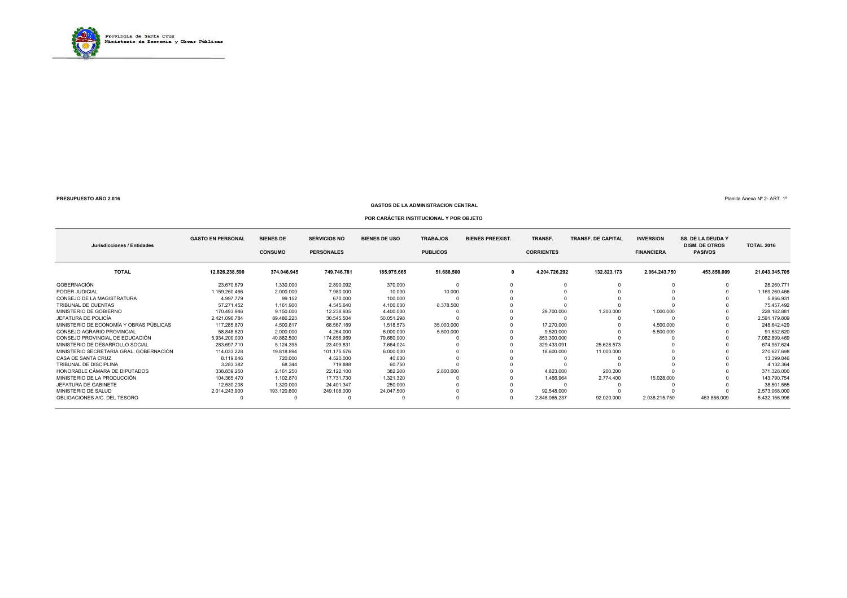

#### **GASTOS DE LA ADMINISTRACION CENTRAL**

Planilla Anexa Nº 2- ART. 1º

#### **POR CARÁCTER INSTITUCIONAL Y POR OBJETO**

| Jurisdicciones / Entidades              | <b>GASTO EN PERSONAL</b> | <b>BIENES DE</b><br><b>CONSUMO</b> | <b>SERVICIOS NO</b><br><b>PERSONALES</b> | <b>BIENES DE USO</b> | <b>TRABAJOS</b><br><b>PUBLICOS</b> | <b>BIENES PREEXIST.</b> | TRANSF.<br><b>CORRIENTES</b> | <b>TRANSF. DE CAPITAL</b> | <b>INVERSION</b><br><b>FINANCIERA</b> | <b>SS. DE LA DEUDA Y</b><br><b>DISM. DE OTROS</b><br><b>PASIVOS</b> | <b>TOTAL 2016</b> |
|-----------------------------------------|--------------------------|------------------------------------|------------------------------------------|----------------------|------------------------------------|-------------------------|------------------------------|---------------------------|---------------------------------------|---------------------------------------------------------------------|-------------------|
| <b>TOTAL</b>                            | 12.826.238.590           | 374.046.945                        | 749.746.781                              | 185.975.665          | 51.688.500                         | 0                       | 4.204.726.292                | 132.823.173               | 2.064.243.750                         | 453.856.009                                                         | 21.043.345.705    |
| GOBERNACIÓN                             | 23.670.679               | 1.330.000                          | 2.890.092                                | 370.000              |                                    |                         |                              |                           |                                       |                                                                     | 28.260.771        |
| PODER JUDICIAL                          | 1.159.260.466            | 2.000.000                          | 7.980.000                                | 10.000               | 10.000                             |                         |                              |                           |                                       |                                                                     | 1.169.260.466     |
| CONSEJO DE LA MAGISTRATURA              | 4.997.779                | 99.152                             | 670.000                                  | 100.000              |                                    |                         |                              |                           |                                       |                                                                     | 5.866.931         |
| TRIBUNAL DE CUENTAS                     | 57.271.452               | 1.161.900                          | 4.545.640                                | 4.100.000            | 8.378.500                          |                         |                              |                           |                                       |                                                                     | 75.457.492        |
| MINISTERIO DE GOBIERNO                  | 170.493.946              | 9.150.000                          | 12.238.935                               | 4.400.000            |                                    |                         | 29.700.000                   | 1.200.000                 | 1.000.000                             |                                                                     | 228.182.881       |
| JEFATURA DE POLICÍA                     | 2.421.096.784            | 89.486.223                         | 30.545.504                               | 50.051.298           |                                    |                         |                              |                           |                                       |                                                                     | 2.591.179.809     |
| MINISTERIO DE ECONOMÍA Y OBRAS PÚBLICAS | 117.285.870              | 4.500.817                          | 68.567.169                               | 1.518.573            | 35,000,000                         |                         | 17.270.000                   |                           | 4.500.000                             |                                                                     | 248.642.429       |
| CONSEJO AGRARIO PROVINCIAL              | 58.848.620               | 2.000.000                          | 4.264.000                                | 6.000.000            | 5.500.000                          |                         | 9.520.000                    |                           | 5.500.000                             |                                                                     | 91.632.620        |
| CONSEJO PROVINCIAL DE EDUCACIÓN         | 5.934.200.000            | 40.882.500                         | 174.856.969                              | 79.660.000           |                                    |                         | 853.300.000                  |                           |                                       |                                                                     | 7.082.899.469     |
| MINISTERIO DE DESARROLLO SOCIAL         | 283.697.710              | 5.124.395                          | 23.409.831                               | 7.664.024            |                                    |                         | 329.433.091                  | 25.628.573                |                                       |                                                                     | 674.957.624       |
| MINISTERIO SECRETARIA GRAL, GOBERNACIÓN | 114.033.228              | 19.818.894                         | 101.175.576                              | 6.000.000            |                                    |                         | 18.600.000                   | 11.000.000                |                                       |                                                                     | 270.627.698       |
| CASA DE SANTA CRUZ                      | 8.119.846                | 720,000                            | 4.520.000                                | 40.000               |                                    |                         |                              |                           |                                       |                                                                     | 13.399.846        |
| TRIBUNAL DE DISCIPLINA                  | 3.283.382                | 68.344                             | 719.888                                  | 60.750               |                                    |                         |                              |                           |                                       |                                                                     | 4.132.364         |
| HONORABLE CÁMARA DE DIPUTADOS           | 338.839.250              | 2.161.250                          | 22.122.100                               | 382.200              | 2.800.000                          |                         | 4.823.000                    | 200.200                   |                                       |                                                                     | 371.328.000       |
| MINISTERIO DE LA PRODUCCIÓN             | 104.365.470              | 1.102.870                          | 17.731.730                               | 1.321.320            |                                    |                         | 1.466.964                    | 2.774.400                 | 15.028.000                            |                                                                     | 143.790.754       |
| JEFATURA DE GABINETE                    | 12.530.208               | 1.320.000                          | 24.401.347                               | 250,000              |                                    |                         |                              |                           |                                       |                                                                     | 38.501.555        |
| MINISTERIO DE SALUD                     | 2.014.243.900            | 193.120.600                        | 249.108.000                              | 24.047.500           |                                    |                         | 92.548.000                   |                           |                                       |                                                                     | 2.573.068.000     |
| OBLIGACIONES A/C, DEL TESORO            |                          |                                    |                                          |                      |                                    |                         | 2.848.065.237                | 92.020.000                | 2.038.215.750                         | 453.856.009                                                         | 5.432.156.996     |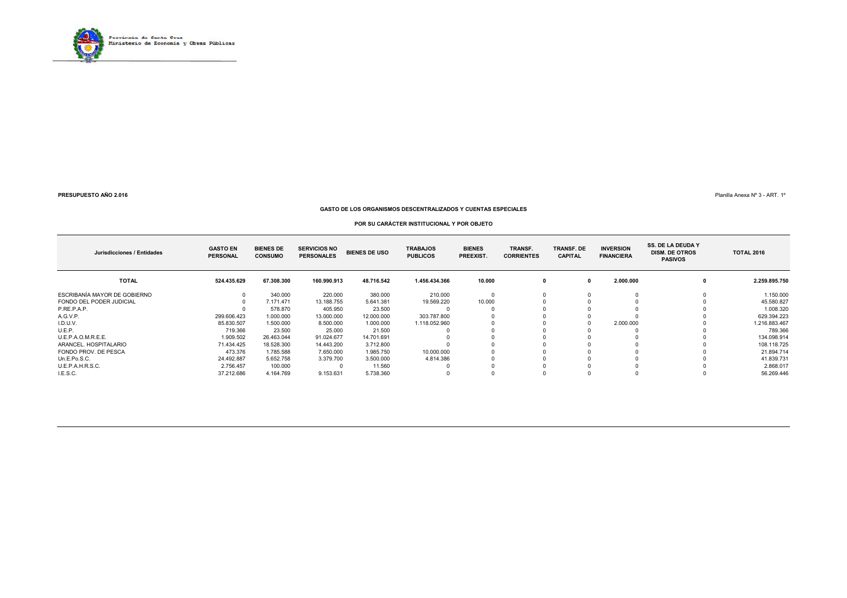

Planilla Anexa Nº 3 - ART. 1º

#### **GASTO DE LOS ORGANISMOS DESCENTRALIZADOS Y CUENTAS ESPECIALES**

#### **POR SU CARÁCTER INSTITUCIONAL Y POR OBJETO**

| Jurisdicciones / Entidades   | <b>GASTO EN</b><br><b>PERSONAL</b> | <b>BIENES DE</b><br><b>CONSUMO</b> | <b>SERVICIOS NO</b><br><b>PERSONALES</b> | <b>BIENES DE USO</b> | <b>TRABAJOS</b><br><b>PUBLICOS</b> | <b>BIENES</b><br>PREEXIST. | TRANSF.<br><b>CORRIENTES</b> | <b>TRANSF. DE</b><br><b>CAPITAL</b> | <b>INVERSION</b><br><b>FINANCIERA</b> | <b>SS. DE LA DEUDA Y</b><br><b>DISM. DE OTROS</b><br><b>PASIVOS</b> | <b>TOTAL 2016</b> |
|------------------------------|------------------------------------|------------------------------------|------------------------------------------|----------------------|------------------------------------|----------------------------|------------------------------|-------------------------------------|---------------------------------------|---------------------------------------------------------------------|-------------------|
| <b>TOTAL</b>                 | 524.435.629                        | 67.308.300                         | 160.990.913                              | 48.716.542           | 1.456.434.366                      | 10.000                     |                              |                                     | 2.000.000                             |                                                                     | 2.259.895.750     |
| ESCRIBANÍA MAYOR DE GOBIERNO |                                    | 340.000                            | 220,000                                  | 380,000              | 210,000                            |                            |                              |                                     |                                       |                                                                     | 1.150.000         |
| FONDO DEL PODER JUDICIAL     |                                    | 7.171.471                          | 13.188.755                               | 5.641.381            | 19.569.220                         | 10.000                     |                              |                                     |                                       |                                                                     | 45.580.827        |
| P.RE.P.A.P.                  |                                    | 578,870                            | 405.950                                  | 23.500               |                                    |                            |                              |                                     |                                       |                                                                     | 1.008.320         |
| A.G.V.P.                     | 299.606.423                        | 1.000.000                          | 13.000.000                               | 12.000.000           | 303.787.800                        |                            |                              |                                     |                                       |                                                                     | 629.394.223       |
| I.D.U.V.                     | 85.830.507                         | 1.500.000                          | 8.500.000                                | 1.000.000            | 1.118.052.960                      |                            |                              |                                     | 2.000.000                             |                                                                     | 1.216.883.467     |
| U.E.P.                       | 719.366                            | 23.500                             | 25.000                                   | 21.500               |                                    |                            |                              |                                     |                                       |                                                                     | 789.366           |
| U.E.P.A.O.M.R.E.E.           | 1.909.502                          | 26.463.044                         | 91.024.677                               | 14.701.691           |                                    |                            |                              |                                     |                                       |                                                                     | 134.098.914       |
| ARANCEL, HOSPITALARIO        | 71.434.425                         | 18.528.300                         | 14.443.200                               | 3.712.800            |                                    |                            |                              |                                     |                                       |                                                                     | 108.118.725       |
| FONDO PROV. DE PESCA         | 473.376                            | 1.785.588                          | 7.650.000                                | 1.985.750            | 10.000.000                         |                            |                              |                                     |                                       |                                                                     | 21.894.714        |
| Un.E.Po.S.C.                 | 24.492.887                         | 5.652.758                          | 3.379.700                                | 3.500.000            | 4.814.386                          |                            |                              |                                     |                                       |                                                                     | 41.839.731        |
| U.E.P.A.H.R.S.C.             | 2.756.457                          | 100.000                            |                                          | 11.560               |                                    |                            |                              |                                     |                                       |                                                                     | 2.868.017         |
| I.E.S.C.                     | 37.212.686                         | 4.164.769                          | 9.153.631                                | 5.738.360            |                                    |                            |                              |                                     |                                       |                                                                     | 56.269.446        |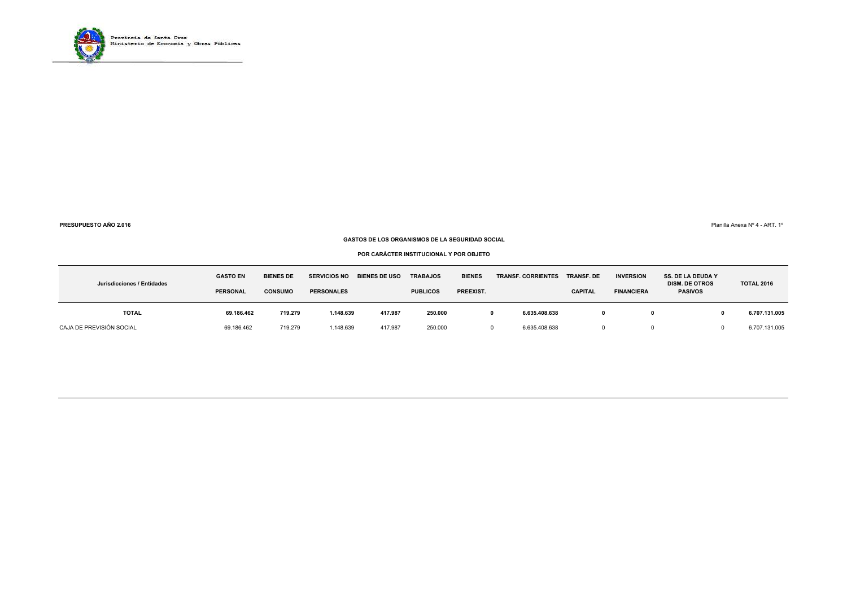

Planilla Anexa Nº 4 - ART. 1º

#### **GASTOS DE LOS ORGANISMOS DE LA SEGURIDAD SOCIAL**

**POR CARÁCTER INSTITUCIONAL Y POR OBJETO**

| Jurisdicciones / Entidades | <b>GASTO EN</b><br><b>PERSONAL</b> | <b>BIENES DE</b><br><b>CONSUMO</b> | <b>SERVICIOS NO</b><br><b>PERSONALES</b> | <b>BIENES DE USO</b> | <b>TRABAJOS</b><br><b>PUBLICOS</b> | <b>BIENES</b><br>PREEXIST. | <b>TRANSF. CORRIENTES</b> | <b>TRANSF. DE</b><br><b>CAPITAL</b> | <b>INVERSION</b><br><b>FINANCIERA</b> | <b>SS. DE LA DEUDA Y</b><br><b>DISM. DE OTROS</b><br><b>PASIVOS</b> | <b>TOTAL 2016</b> |
|----------------------------|------------------------------------|------------------------------------|------------------------------------------|----------------------|------------------------------------|----------------------------|---------------------------|-------------------------------------|---------------------------------------|---------------------------------------------------------------------|-------------------|
| TOTAL                      | 69.186.462                         | 719.279                            | 1.148.639                                | 417.987              | 250.000                            |                            | 6.635.408.638             |                                     |                                       |                                                                     | 6.707.131.005     |
| CAJA DE PREVISIÓN SOCIAL   | 69.186.462                         | 719.279                            | 1.148.639                                | 417.987              | 250.000                            |                            | 6.635.408.638             |                                     |                                       |                                                                     | 6.707.131.005     |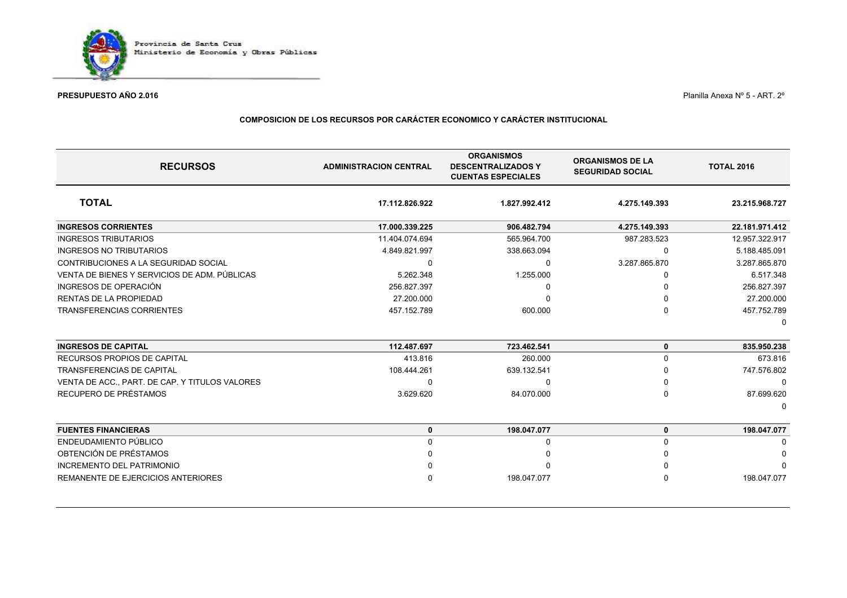

Planilla Anexa Nº 5 - ART. 2º

### **COMPOSICION DE LOS RECURSOS POR CARÁCTER ECONOMICO Y CARÁCTER INSTITUCIONAL**

| <b>RECURSOS</b>                                | <b>ADMINISTRACION CENTRAL</b> | <b>ORGANISMOS</b><br><b>DESCENTRALIZADOS Y</b><br><b>CUENTAS ESPECIALES</b> | <b>ORGANISMOS DE LA</b><br><b>SEGURIDAD SOCIAL</b> | <b>TOTAL 2016</b> |
|------------------------------------------------|-------------------------------|-----------------------------------------------------------------------------|----------------------------------------------------|-------------------|
| <b>TOTAL</b>                                   | 17.112.826.922                | 1.827.992.412                                                               | 4.275.149.393                                      | 23.215.968.727    |
| <b>INGRESOS CORRIENTES</b>                     | 17.000.339.225                | 906.482.794                                                                 | 4.275.149.393                                      | 22.181.971.412    |
| <b>INGRESOS TRIBUTARIOS</b>                    | 11.404.074.694                | 565.964.700                                                                 | 987.283.523                                        | 12.957.322.917    |
| <b>INGRESOS NO TRIBUTARIOS</b>                 | 4.849.821.997                 | 338.663.094                                                                 | 0                                                  | 5.188.485.091     |
| CONTRIBUCIONES A LA SEGURIDAD SOCIAL           | 0                             | $\Omega$                                                                    | 3.287.865.870                                      | 3.287.865.870     |
| VENTA DE BIENES Y SERVICIOS DE ADM. PÚBLICAS   | 5.262.348                     | 1.255.000                                                                   |                                                    | 6.517.348         |
| INGRESOS DE OPERACIÓN                          | 256.827.397                   | n                                                                           |                                                    | 256.827.397       |
| <b>RENTAS DE LA PROPIEDAD</b>                  | 27.200.000                    |                                                                             |                                                    | 27.200.000        |
| TRANSFERENCIAS CORRIENTES                      | 457.152.789                   | 600.000                                                                     |                                                    | 457.752.789       |
|                                                |                               |                                                                             |                                                    |                   |
| <b>INGRESOS DE CAPITAL</b>                     | 112.487.697                   | 723.462.541                                                                 | $\bf{0}$                                           | 835.950.238       |
| RECURSOS PROPIOS DE CAPITAL                    | 413.816                       | 260,000                                                                     | $\Omega$                                           | 673.816           |
| <b>TRANSFERENCIAS DE CAPITAL</b>               | 108.444.261                   | 639.132.541                                                                 |                                                    | 747.576.802       |
| VENTA DE ACC., PART. DE CAP. Y TITULOS VALORES | $\Omega$                      | $\Omega$                                                                    |                                                    |                   |
| RECUPERO DE PRÉSTAMOS                          | 3.629.620                     | 84.070.000                                                                  | $\Omega$                                           | 87.699.620        |
|                                                |                               |                                                                             |                                                    |                   |
| <b>FUENTES FINANCIERAS</b>                     | $\mathbf 0$                   | 198.047.077                                                                 | 0                                                  | 198.047.077       |
| ENDEUDAMIENTO PÚBLICO                          | $\mathbf{0}$                  | 0                                                                           | $\Omega$                                           | ∩                 |
| OBTENCIÓN DE PRÉSTAMOS                         | ∩                             |                                                                             |                                                    |                   |
| INCREMENTO DEL PATRIMONIO                      |                               |                                                                             |                                                    |                   |
| REMANENTE DE EJERCICIOS ANTERIORES             | n                             | 198.047.077                                                                 |                                                    | 198.047.077       |
|                                                |                               |                                                                             |                                                    |                   |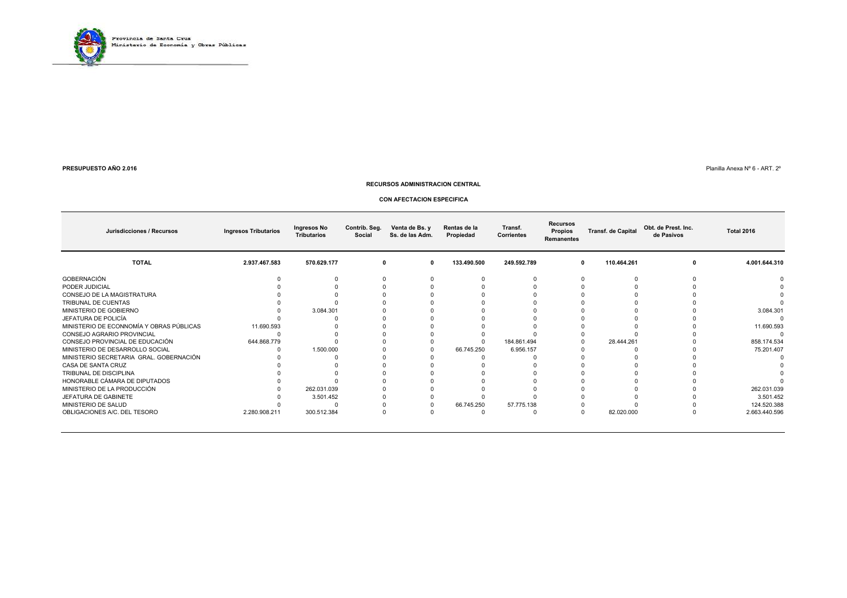

 $\blacksquare$  Planilla Anexa № 6 - ART. 2°

#### **RECURSOS ADMINISTRACION CENTRAL**

#### **CON AFECTACION ESPECIFICA**

| Jurisdicciones / Recursos                | <b>Ingresos Tributarios</b> | Ingresos No<br><b>Tributarios</b> | Contrib. Seg.<br>Social | Venta de Bs. y<br>Ss. de las Adm. | Rentas de la<br>Propiedad | Transf.<br><b>Corrientes</b> | <b>Recursos</b><br>Propios<br>Remanentes | <b>Transf. de Capital</b> | Obt. de Prest. Inc.<br>de Pasivos | <b>Total 2016</b> |
|------------------------------------------|-----------------------------|-----------------------------------|-------------------------|-----------------------------------|---------------------------|------------------------------|------------------------------------------|---------------------------|-----------------------------------|-------------------|
| <b>TOTAL</b>                             | 2.937.467.583               | 570.629.177                       | 0                       | 0                                 | 133.490.500               | 249.592.789                  |                                          | 110.464.261<br>0          | 0                                 | 4.001.644.310     |
| GOBERNACIÓN                              |                             |                                   |                         |                                   |                           |                              |                                          |                           |                                   |                   |
| PODER JUDICIAL                           |                             |                                   |                         |                                   |                           |                              |                                          |                           |                                   |                   |
| CONSEJO DE LA MAGISTRATURA               |                             |                                   |                         |                                   |                           |                              |                                          |                           |                                   |                   |
| TRIBUNAL DE CUENTAS                      |                             |                                   |                         |                                   |                           |                              |                                          |                           |                                   |                   |
| MINISTERIO DE GOBIERNO                   |                             | 3.084.301                         |                         |                                   |                           |                              |                                          |                           |                                   | 3.084.301         |
| JEFATURA DE POLICÍA                      |                             |                                   |                         |                                   |                           |                              |                                          |                           |                                   |                   |
| MINISTERIO DE ECONNOMÍA Y OBRAS PÚBLICAS | 11.690.593                  |                                   |                         |                                   |                           |                              |                                          |                           |                                   | 11.690.593        |
| CONSEJO AGRARIO PROVINCIAL               |                             |                                   |                         |                                   |                           |                              |                                          |                           |                                   |                   |
| CONSEJO PROVINCIAL DE EDUCACIÓN          | 644.868.779                 |                                   |                         |                                   |                           | 184.861.494                  |                                          | 28.444.261                |                                   | 858.174.534       |
| MINISTERIO DE DESARROLLO SOCIAL          |                             | 1.500.000                         |                         |                                   | 66.745.250                | 6.956.157                    |                                          |                           |                                   | 75.201.407        |
| MINISTERIO SECRETARIA GRAL. GOBERNACIÓN  |                             |                                   |                         |                                   |                           |                              |                                          |                           |                                   |                   |
| CASA DE SANTA CRUZ                       |                             |                                   |                         |                                   |                           |                              |                                          |                           |                                   |                   |
| TRIBUNAL DE DISCIPLINA                   |                             |                                   |                         |                                   |                           |                              |                                          |                           |                                   |                   |
| HONORABLE CÁMARA DE DIPUTADOS            |                             |                                   |                         |                                   |                           |                              |                                          |                           |                                   |                   |
| MINISTERIO DE LA PRODUCCIÓN              |                             | 262.031.039                       |                         |                                   |                           |                              |                                          |                           |                                   | 262.031.039       |
| JEFATURA DE GABINETE                     |                             | 3.501.452                         |                         |                                   |                           |                              |                                          |                           |                                   | 3.501.452         |
| MINISTERIO DE SALUD                      |                             |                                   |                         |                                   | 66.745.250                | 57.775.138                   |                                          |                           |                                   | 124.520.388       |
| OBLIGACIONES A/C. DEL TESORO             | 2.280.908.211               | 300.512.384                       |                         |                                   |                           |                              |                                          | 82.020.000                |                                   | 2.663.440.596     |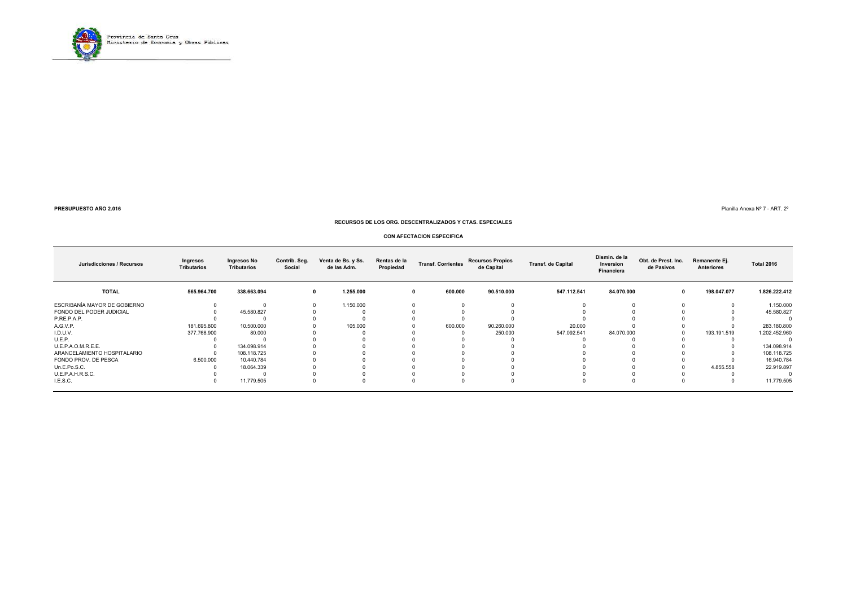

Planilla Anexa Nº 7 - ART. 2º

#### **RECURSOS DE LOS ORG. DESCENTRALIZADOS Y CTAS. ESPECIALES**

#### **CON AFECTACION ESPECIFICA**

| Jurisdicciones / Recursos    | Ingresos<br><b>Tributarios</b> | Ingresos No<br><b>Tributarios</b> | Contrib. Seg.<br>Social | Venta de Bs. y Ss.<br>de las Adm. | Rentas de la<br>Propiedad | <b>Transf. Corrientes</b> | <b>Recursos Propios</b><br>de Capital | <b>Transf. de Capital</b> | Dismin. de la<br>Inversion<br>Financiera | Obt. de Prest. Inc.<br>de Pasivos | Remanente Ej.<br>Anteriores | <b>Total 2016</b> |
|------------------------------|--------------------------------|-----------------------------------|-------------------------|-----------------------------------|---------------------------|---------------------------|---------------------------------------|---------------------------|------------------------------------------|-----------------------------------|-----------------------------|-------------------|
| <b>TOTAL</b>                 | 565.964.700                    | 338.663.094                       | $\mathbf{0}$            | 1.255.000                         | 0                         | 600.000                   | 90.510.000                            | 547.112.541               | 84.070.000                               |                                   | 198.047.077                 | 1.826.222.412     |
| ESCRIBANÍA MAYOR DE GOBIERNO |                                |                                   |                         | 1.150.000                         |                           |                           |                                       |                           |                                          |                                   |                             | 1.150.000         |
| FONDO DEL PODER JUDICIAL     |                                | 45.580.827                        |                         |                                   |                           |                           |                                       |                           |                                          |                                   |                             | 45.580.827        |
| P.RE.P.A.P.                  |                                |                                   |                         |                                   |                           |                           |                                       |                           |                                          |                                   |                             |                   |
| A.G.V.P.                     | 181.695.800                    | 10.500.000                        |                         | 105.000                           |                           | 600.000                   | 90.260.000                            | 20.000                    |                                          |                                   |                             | 283.180.800       |
| I.D.U.V.                     | 377.768.900                    | 80.000                            |                         |                                   |                           |                           | 250.000                               | 547.092.541               | 84.070.000                               |                                   | 193.191.519                 | 1.202.452.960     |
| U.E.P.                       |                                |                                   |                         |                                   |                           |                           |                                       |                           |                                          |                                   |                             |                   |
| U.E.P.A.O.M.R.E.E.           |                                | 134.098.914                       |                         |                                   |                           |                           |                                       |                           |                                          |                                   |                             | 134.098.914       |
| ARANCELAMIENTO HOSPITALARIO  |                                | 108.118.725                       |                         |                                   |                           |                           |                                       |                           |                                          |                                   |                             | 108.118.725       |
| FONDO PROV. DE PESCA         | 6.500.000                      | 10.440.784                        |                         |                                   |                           |                           |                                       |                           |                                          |                                   |                             | 16.940.784        |
| Un.E.Po.S.C.                 |                                | 18.064.339                        |                         |                                   |                           |                           |                                       |                           |                                          |                                   | 4.855.558                   | 22.919.897        |
| U.E.P.A.H.R.S.C.             |                                |                                   |                         |                                   |                           |                           |                                       |                           |                                          |                                   |                             |                   |
| I.E.S.C.                     |                                | 11.779.505                        |                         |                                   |                           |                           |                                       |                           |                                          |                                   |                             | 11.779.505        |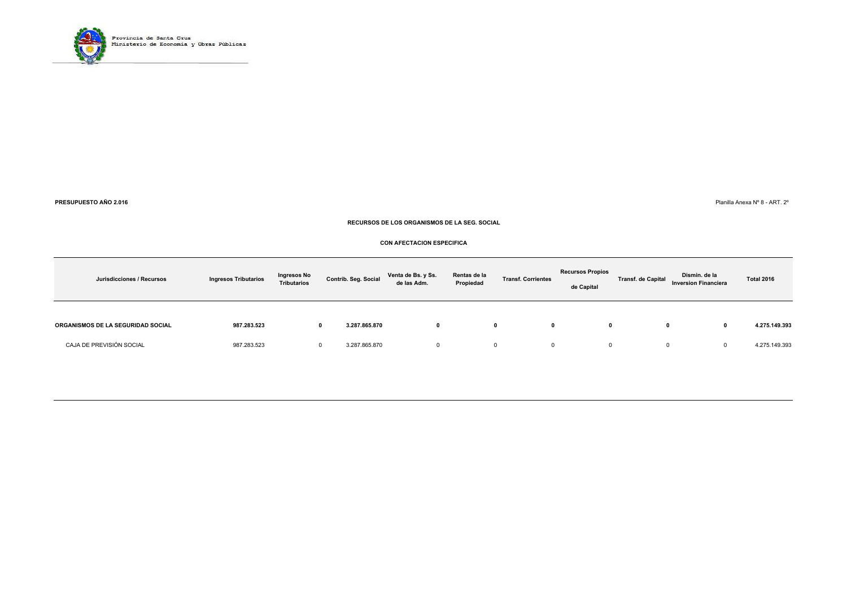

 $\blacksquare$  Planilla Anexa № 8 - ART. 2°

#### **RECURSOS DE LOS ORGANISMOS DE LA SEG. SOCIAL**

#### **CON AFECTACION ESPECIFICA**

| Jurisdicciones / Recursos         | <b>Ingresos Tributarios</b> | Ingresos No<br><b>Tributarios</b> | Contrib. Seg. Social      | Venta de Bs. y Ss.<br>de las Adm. | Rentas de la<br>Propiedad | <b>Transf. Corrientes</b> | <b>Recursos Propios</b><br>de Capital | <b>Transf. de Capital</b> | Dismin. de la<br><b>Inversion Financiera</b> | <b>Total 2016</b> |
|-----------------------------------|-----------------------------|-----------------------------------|---------------------------|-----------------------------------|---------------------------|---------------------------|---------------------------------------|---------------------------|----------------------------------------------|-------------------|
| ORGANISMOS DE LA SEGURIDAD SOCIAL | 987.283.523                 |                                   | 3.287.865.870<br>0        |                                   |                           |                           |                                       |                           | 0                                            | 4.275.149.393     |
| CAJA DE PREVISIÓN SOCIAL          | 987.283.523                 |                                   | 3.287.865.870<br>$\Omega$ |                                   |                           | $\mathbf{0}$              | 0                                     |                           | 0                                            | 4.275.149.393     |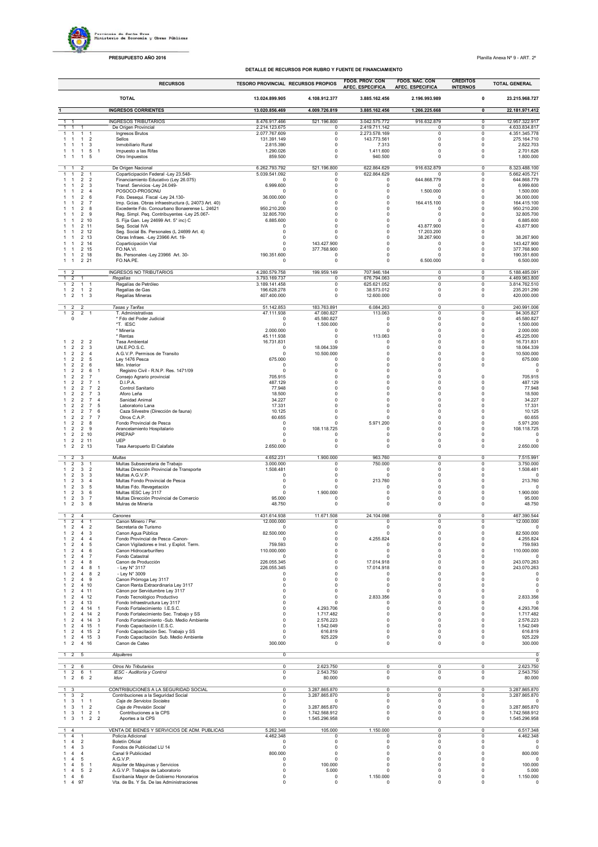Previncia de Santa Crus<br>Ministerio de Economía y Obras Públicas

**PRESUPUESTO AÑO 2016** Planilla Anexa Nº 9 - ART. 2º

**DETALLE DE RECURSOS POR RUBRO Y FUENTE DE FINANCIAM** 

|                                                                                                                                                                        | <b>DETALLE</b>                            | DE RECURSOS POR RUBRO Y FUENTE DE FINANCIAMIENTO | FDOS. PROV. CON                | <b>FDOS. NAC. CON</b>    | <b>CREDITOS</b>                                               |
|------------------------------------------------------------------------------------------------------------------------------------------------------------------------|-------------------------------------------|--------------------------------------------------|--------------------------------|--------------------------|---------------------------------------------------------------|
| <b>RECURSOS</b>                                                                                                                                                        | <b>TESORO PROVINCIAL RECURSOS PROPIOS</b> |                                                  | <b>AFEC. ESPECIFICA</b>        | <b>AFEC. ESPECIFICA</b>  | <b>TOTAL GENERAL</b><br><b>INTERNOS</b>                       |
| <b>TOTAL</b>                                                                                                                                                           | 13.024.899.905                            | 4.108.912.377                                    | 3.885.162.456                  | 2.196.993.989            | $\pmb{0}$<br>23.215.968.727                                   |
| <b>INGRESOS CORRIENTES</b>                                                                                                                                             | 13.020.856.469                            | 4.009.726.819                                    | 3.885.162.456                  | 1.266.225.668            | $\overline{\mathbf{0}}$<br>22.181.971.412                     |
| <b>INGRESOS TRIBUTARIOS</b>                                                                                                                                            | 8.476.917.466                             | 521.196.800                                      | 3.042.575.772                  | 916.632.879              | 0<br>12.957.322.917                                           |
| De Origen Provincial<br>$\mathbf{1}$<br>$\mathbf{1}$<br>Ingresos Brutos<br>$\mathbf{1}$<br>$\overline{1}$<br>-1<br>-1                                                  | 2.214.123.675<br>2.077.767.609            | $^{\circ}$<br>0                                  | 2.419.711.142<br>2.273.578.169 | $\circ$<br>0             | 0<br>4.633.834.817<br>0<br>4.351.345.778                      |
| $\mathbf{1}$<br>1<br>$\overline{2}$<br>Sellos<br>-1<br>Inmobiliario Rural<br>3<br>-1<br>-1                                                                             | 131.391.149                               | $\mathsf 0$<br>$\Omega$                          | 143.773.561                    | $\Omega$<br>$\Omega$     | $\Omega$<br>275.164.710<br>$\mathbf 0$                        |
| $\overline{1}$<br>5 <sub>1</sub><br>Impuesto a las Rifas<br>$\mathbf{1}$<br>1<br>-1                                                                                    | 2.815.390<br>1.290.026                    | $\mathsf 0$                                      | 7.313<br>1.411.600             | 0                        | 2.822.703<br>0<br>2.701.626                                   |
| 5<br>Otro Impuestos<br>1<br>1<br>$\overline{1}$                                                                                                                        | 859.500                                   | $\mathsf 0$                                      | 940.500                        | $\pmb{0}$                | 0<br>1.800.000                                                |
| De Origen Nacional<br>$\overline{2}$<br>1                                                                                                                              | 6.262.793.792                             | 521.196.800                                      | 622.864.629                    | 916.632.879              | 8.323.488.100<br>$\overline{\mathbf{0}}$                      |
| Coparticipación Federal -Ley 23.548-<br>$\overline{c}$<br>$\overline{1}$<br>$\overline{2}$<br>Financiamiento Educativo (Ley 26.075)<br>$\overline{2}$                  | 5.039.541.092<br>$^{\circ}$               | 0<br>$\mathsf 0$                                 | 622.864.629<br>0               | 0<br>644.868.779         | 0<br>5.662.405.721<br>$\mathbf 0$<br>644.868.779              |
| Transf. Servicios -Ley 24.049-<br>$\overline{2}$<br>3                                                                                                                  | 6.999.600                                 | $\mathbf 0$                                      | 0                              | $\circ$                  | 0<br>6.999.600                                                |
| POSOCO-PROSONU<br>$\overline{2}$<br>$\overline{4}$<br>6<br>Fdo. Desequi. Fiscal -Ley 24.130-<br>2                                                                      | $\mathbf 0$<br>36.000.000                 | $\mathbf 0$<br>0                                 | 0<br>$\mathbf 0$               | 1.500.000<br>$^{\circ}$  | 0<br>1.500.000<br>0<br>36.000.000                             |
| Imp. Gcias. Obras infraestructura (L 24073 Art. 40)<br>$\overline{2}$<br>7                                                                                             | $^{\circ}$                                | 0                                                | 0                              | 164.415.100              | 0<br>164.415.100                                              |
| Excedente Fdo. Conourbano Bonaerense L. 24621<br>$\overline{2}$<br>8<br>9<br>Reg. Simpl. Peq. Contribuyentes -Ley 25.067-<br>$\overline{2}$                            | 950.210.200<br>32.805.700                 | $\circ$<br>$\Omega$                              | $\Omega$<br>$\Omega$           | $^{\circ}$<br>$\Omega$   | $\Omega$<br>950.210.200<br>$\mathbf 0$<br>32.805.700          |
| S. Fija Gan. Ley 24699 Art. 5° inc) C<br>2 10                                                                                                                          | 6.885.600                                 | $\Omega$                                         | $\Omega$                       | $\Omega$                 | $\mathbf 0$<br>6.885.600                                      |
| 2 11<br>Seg. Social IVA<br>Seg. Social Bs. Personales (L 24699 Art. 4)<br>2 12                                                                                         | 0<br>0                                    | $\mathbf 0$<br>$\circ$                           | 0<br>0                         | 43.877.900<br>17.203.200 | 0<br>43.877.900<br>0                                          |
| 2 13<br>Obras Infraes. - Ley 23966 Art. 19-                                                                                                                            | 0                                         | $^{\circ}$                                       | 0<br>$\Omega$                  | 38.267.900               | 0<br>38.267.900                                               |
| Coparticipación Vial<br>2 14<br>FO.NA.VI.<br>2 15<br>-1<br>-1                                                                                                          | $^{\circ}$<br>$\Omega$                    | 143.427.900<br>377.768.900                       | $\Omega$                       | 0<br>0                   | 143.427.900<br>0<br>0<br>377.768.900                          |
| 2 18<br>Bs. Personales -Ley 23966 Art. 30-<br>-1<br>-1<br>221<br>FO.NA.PE.<br>$\overline{1}$<br>1                                                                      | 190.351.600<br>$^{\circ}$                 | $\mathsf 0$<br>$\mathsf 0$                       | $\Omega$<br>$\Omega$           | $\Omega$<br>6.500.000    | $\mathsf 0$<br>190.351.600<br>0<br>6.500.000                  |
|                                                                                                                                                                        |                                           |                                                  |                                |                          |                                                               |
| <b>INGRESOS NO TRIBUTARIOS</b><br>$1 \quad 2$<br>$\overline{1}$<br>$\overline{2}$<br>Regalias<br>-1                                                                    | 4.280.579.758<br>3.793.169.737            | 199.959.149<br>$^{\circ}$                        | 707.946.184<br>676.794.063     | 0<br>$\Omega$            | 0<br>5.188.485.091<br>4.469.963.800<br>0                      |
| 1211<br>Regalías de Petróleo                                                                                                                                           | 3.189.141.458                             | $\mathsf 0$                                      | 625.621.052                    | $\Omega$                 | $\Omega$<br>3.814.762.510                                     |
| $1 \quad 2 \quad 1 \quad 2$<br>Regalías de Gas<br>Regalías Mineras<br>$1 \quad 2 \quad 1 \quad 3$                                                                      | 196.628.278<br>407.400.000                | $\mathbf 0$<br>0                                 | 38.573.012<br>12.600.000       | $\Omega$<br>0            | $\mathbf 0$<br>235.201.290<br>$\mathsf 0$<br>420.000.000      |
|                                                                                                                                                                        | 51.142.853                                |                                                  | 6.084.263                      | $\overline{0}$           |                                                               |
| $\overline{2}$<br>Tasas y Tarifas<br>$\overline{2}$<br>$\mathbf{1}$<br>$\overline{2}$<br>$\overline{2}$<br>T. Administrativas<br>$\mathbf{1}$<br>$\overline{1}$        | 47.111.938                                | 183.763.891<br>47.080.827                        | 113.063                        | 0                        | 240.991.006<br>$\overline{0}$<br>$\overline{0}$<br>94.305.827 |
| * Fdo del Poder Judicial<br>0<br>*T. IESC                                                                                                                              | 0                                         | 45.580.827                                       | $^{\circ}$<br>$\Omega$         | 0                        | 45.580.827<br>0<br>$\mathbf 0$                                |
| * Minería                                                                                                                                                              | 0<br>2.000.000                            | 1.500.000<br>$\Omega$                            | $\Omega$                       | $\Omega$<br>$\Omega$     | 1.500.000<br>$\mathbf 0$<br>2.000.000                         |
| * Rentas                                                                                                                                                               | 45.111.938                                | $\mathsf 0$                                      | 113.063                        | $\Omega$                 | $\Omega$<br>45.225.000                                        |
| 2 <sub>2</sub><br>Tasa Ambiental<br>$\overline{2}$<br>$\overline{2}$<br>$\overline{2}$<br>3<br>UN.E.PO.S.C.                                                            | 16.731.831<br>0                           | 0<br>18.064.339                                  | $\mathbf 0$<br>0               | 0<br>0                   | 0<br>16.731.831<br>0<br>18.064.339                            |
| A.G.V.P. Permisos de Transito<br>$\overline{2}$<br>$\overline{2}$<br>$\overline{4}$<br>$\overline{2}$<br>$\overline{2}$<br>5                                           | 0<br>675.000                              | 10.500.000<br>$\Omega$                           | $\Omega$<br>$\Omega$           | $\Omega$<br>$\Omega$     | $\Omega$<br>10.500.000<br>$\mathbf 0$<br>675.000              |
| Ley 1476 Pesca<br>$\overline{2}$<br>Min. Interior<br>$\overline{2}$<br>6                                                                                               | $\Omega$                                  | $\mathbf 0$                                      | $\Omega$                       | $\Omega$                 | $\mathbf 0$<br>$\Omega$                                       |
| Registro Civil - R.N.P. Res. 1471/09<br>$\overline{2}$<br>$\overline{2}$<br>6<br>$\overline{1}$<br>$\overline{2}$<br>2<br>$\overline{7}$<br>Consejo Agrario provincial | 0<br>705.915                              | $\mathsf 0$<br>$\mathbf 0$                       | 0<br>$\mathbf 0$               | $\pmb{0}$<br>0           | $\Omega$<br>0<br>705.915                                      |
| $\overline{2}$<br>2<br>$\overline{7}$<br>D.I.P.A.<br>1                                                                                                                 | 487.129                                   | $\mathbf 0$                                      | $\mathbf 0$                    | 0                        | 0<br>487.129                                                  |
| $\overline{7}$<br>Control Sanitario<br>$\overline{2}$<br>$\overline{2}$<br>$\overline{2}$<br>$\overline{7}$                                                            | 77.948                                    | $^{\circ}$                                       | 0                              | $^{\circ}$               | 77.948<br>$^{\circ}$                                          |
| $\overline{2}$<br>$\overline{2}$<br>3<br>Aforo Leña<br>$\overline{7}$<br>Sanidad Animal<br>$\overline{2}$<br>$\overline{2}$<br>$\overline{4}$                          | 18.500<br>34.227                          | $^{\circ}$<br>$\Omega$                           | $^{\circ}$<br>$\Omega$         | $^{\circ}$<br>$\Omega$   | 18.500<br>$^{\circ}$<br>34.227<br>$\Omega$                    |
| $\overline{2}$<br>$\overline{2}$<br>$\overline{7}$<br>5<br>Laboratorio Lana<br>Caza Silvestre (Dirección de fauna)                                                     | 17.331                                    | $\mathbf 0$<br>$\Omega$                          | 0                              | $\mathbf 0$<br>$\Omega$  | $\Omega$<br>17.331<br>$\Omega$                                |
| $\overline{2}$<br>$\overline{2}$<br>$\overline{7}$<br>6<br>$\overline{2}$<br>$\overline{2}$<br>$\overline{7}$<br>Otros C.A.P.<br>$\overline{7}$                        | 10.125<br>60.655                          | 0                                                | 0<br>0                         | 0                        | 10.125<br>0<br>60.655                                         |
| Fondo Provincial de Pesca<br>$\overline{2}$<br>2 8<br>-1<br>$\overline{2}$<br>2 9<br>$\mathbf{1}$                                                                      | 0<br>$\mathbf 0$                          | 0                                                | 5.971.200<br>$\Omega$          | $\Omega$<br>$\Omega$     | $\Omega$<br>5.971.200<br>$\mathbf 0$                          |
| Arancelamiento Hospitalario<br>$\overline{2}$<br>2 10<br>PREPAP<br>-1                                                                                                  | $\Omega$                                  | 108.118.725<br>$\Omega$                          | $\Omega$                       | $\Omega$                 | 108.118.725<br>$\mathbf 0$<br>$\Omega$                        |
| UEP<br>$\overline{2}$<br>2 11<br>$\mathbf{1}$<br>Tasa Aeropuerto El Calafate<br>$\overline{2}$<br>2 13<br>1                                                            | $\Omega$<br>2.650.000                     | $\mathbf 0$<br>$\mathsf 0$                       | $\Omega$<br>0                  | $\Omega$<br>0            | $\mathbf 0$<br>$\Omega$<br>2.650.000<br>0                     |
|                                                                                                                                                                        |                                           |                                                  |                                |                          |                                                               |
| $\overline{2}$<br>Multas<br>1<br>3<br>$\overline{2}$<br>Multas Subsecretaria de Trabajo<br>$\mathbf{1}$<br>3<br>$\overline{1}$                                         | 4.652.231<br>3.000.000                    | 1.900.000<br>0                                   | 963.760<br>750.000             | 0<br>0                   | 0<br>7.515.991<br>0<br>3.750.000                              |
| $\overline{2}$<br>Multas Dirección Provincial de Transporte<br>3<br>$\overline{2}$<br>-1                                                                               | 1.508.481                                 | $\mathsf 0$                                      | $\Omega$                       | 0                        | 1.508.481<br>$\Omega$                                         |
| Multas A.G.V.P.<br>$\overline{2}$<br>3<br>3<br>Multas Fondo Provincial de Pesca<br>$\overline{2}$<br>3<br>$\overline{4}$                                               | $\mathbf 0$<br>$\mathbf 0$                | $\Omega$<br>$\mathbf 0$                          | $\Omega$<br>213.760            | $\Omega$<br>$\pmb{0}$    | $\mathbf 0$<br>$\Omega$<br>0<br>213.760                       |
| 5<br>Multas Fdo. Revegetación<br>$\overline{2}$<br>3<br>6<br>Multas IESC Ley 3117<br>$\overline{2}$<br>3                                                               | $\mathbf 0$<br>$^{\circ}$                 | $\mathbf 0$                                      | $\mathbf 0$<br>0               | 0<br>0                   | 0<br>0                                                        |
| Multas Dirección Provincial de Comercio<br>$\overline{2}$<br>3<br>7<br>-1                                                                                              | 95.000                                    | 1.900.000<br>$\circ$                             | 0                              | 0                        | 1.900.000<br>0<br>95.000                                      |
| $\overline{2}$<br>3<br>8<br>Mulras de Minería<br>$\mathbf{1}$                                                                                                          | 48.750                                    | $\circ$                                          | 0                              | 0                        | $\mathsf 0$<br>48.750                                         |
| $1\quad2$<br>$\overline{4}$<br>Canones                                                                                                                                 | 431.614.938                               | 11.671.508                                       | 24.104.098                     | $\overline{0}$           | 467.390.544<br>$\overline{\mathbf{0}}$                        |
| Canon Minero / Per.<br>$\overline{\mathbf{c}}$<br>Secretaria de Turismo<br>$\mathbf{1}$<br>2<br>$\overline{4}$                                                         | 12.000.000<br>$^{\circ}$                  | u<br>0                                           | o<br>0                         | 0                        | υ<br>12.000.000<br>0<br>0                                     |
| Canon Agua Pública<br>$\mathbf{1}$<br>$\overline{2}$<br>$\overline{4}$<br>3<br>$\overline{\phantom{a}}$<br>4<br>$\overline{4}$                                         | 82.500.000<br>$\Omega$                    | 0                                                | $^{\circ}$<br>4.255.824        | $^{\circ}$               | 0<br>82.500.000                                               |
| Fondo Provincial de Pesca -Canon-<br>Canon Vigiladores e Inst. y Explot. Term.<br>5<br>$\overline{2}$<br>4                                                             | 759.593                                   | $^{\circ}$<br>$\circ$                            | $\Omega$                       | $^{\circ}$<br>$\Omega$   | 4.255.824<br>0<br>759.593<br>0                                |
| 4<br>6<br>Canon Hidrocarburífero<br>$\overline{2}$<br>$\overline{4}$<br>$\overline{7}$<br>Fondo Catastral<br>$\overline{2}$                                            | 110.000.000<br>$\Omega$                   | 0<br>$\mathbf 0$                                 | 0<br>$\mathbf 0$               | $^{\circ}$<br>0          | 110.000.000<br>0<br>0<br>$\Omega$                             |
| 8<br>Canon de Producción<br>$\overline{2}$<br>$\overline{4}$                                                                                                           | 226.055.345                               | 0                                                | 17.014.918                     | 0                        | 0<br>243.070.263                                              |
| $\overline{4}$<br>8<br>- Ley N° 3117<br>$\overline{2}$<br>$\overline{1}$<br>$\overline{2}$<br>- Ley N° 3009<br>$\overline{2}$<br>$\overline{4}$<br>8                   | 226.055.345<br>$\Omega$                   | $\mathbf 0$<br>$\Omega$                          | 17.014.918<br>0                | 0<br>$\Omega$            | 0<br>243.070.263<br>$\Omega$<br>0                             |
| 4 9<br>Canon Prórroga Ley 3117<br>$\overline{2}$<br>-1                                                                                                                 | $\Omega$                                  | $\Omega$                                         | $\Omega$                       | $\Omega$                 | $\mathbf 0$<br>0                                              |
| Canon Renta Extraordinaria Ley 3117<br>$\overline{2}$<br>4 10<br>-1<br>Cánon por Servidumbre Ley 3117<br>$\overline{2}$<br>4 11<br>-1                                  | $\Omega$<br>$\Omega$                      | $\Omega$<br>$\mathsf 0$                          | $\Omega$<br>0                  | $\Omega$<br>$\Omega$     | $\mathbf 0$<br>$\Omega$<br>0                                  |
| 4 12<br>Fondo Tecnológico Productivo<br>$\mathbf{1}$<br>$\overline{2}$                                                                                                 | 0                                         | $\mathbf 0$                                      | 2.833.356                      | 0                        | 2.833.356<br>0                                                |
| 4 13<br>Fondo Infraestructura Ley 3117<br>$\overline{2}$<br>Fondo Fortalecimiento I.E.S.C.<br>$\overline{2}$<br>4 14<br>$\overline{1}$<br>-1                           | $^{\circ}$<br>$^{\circ}$                  | $\mathbf 0$<br>4.293.706                         | $\mathbf 0$<br>0               | 0<br>$^{\circ}$          | 0<br>4.293.706<br>$^{\circ}$                                  |
| 4 14<br>$\overline{2}$<br>Fondo Fortalecimiento Sec. Trabajo y SS<br>$\overline{2}$<br>-1                                                                              | $\Omega$                                  | 1.717.482                                        | $\Omega$                       | $\Omega$                 | 1.717.482<br>$^{\circ}$                                       |
| Fondo Fortalecimiento -Sub. Medio Ambiente<br>4 14<br>3<br>$\overline{2}$<br>$\overline{2}$<br>4 15<br>Fondo Capacitación I.E.S.C.<br>$\overline{1}$<br>-1             | $\Omega$<br>$^{\circ}$                    | 2.576.223<br>1.542.049                           | $\Omega$<br>$\Omega$           | $\Omega$<br>0            | 2.576.223<br>$\Omega$<br>$\Omega$<br>1.542.049                |
| $\overline{2}$<br>4 15<br>$\overline{2}$<br>Fondo Capacitación Sec. Trabajo y SS<br>-1                                                                                 | $\mathbf 0$                               | 616.819                                          | $\Omega$                       | 0                        | 616.819<br>$\Omega$                                           |
| 4 15<br>3<br>Fondo Capacitación Sub. Medio Ambiente<br>$\overline{2}$<br>1<br>$\overline{2}$<br>4 16<br>Canon de Cateo<br>1                                            | $^{\circ}$<br>300.000                     | 925.229<br>$^{\circ}$                            | 0<br>0                         | 0<br>0                   | 925.229<br>0<br>300.000<br>0                                  |
|                                                                                                                                                                        |                                           |                                                  |                                |                          |                                                               |
| $125$<br>Alquileres                                                                                                                                                    | 0                                         |                                                  |                                |                          | 0<br>$\overline{0}$                                           |
| Otros No Tributarios<br>$\overline{2}$<br>6<br>$\mathbf{1}$<br>$\overline{2}$<br>6<br>IESC - Auditoría y Control<br>$\mathbf{1}$<br>1                                  | $\pmb{0}$<br>$\overline{0}$               | 2.623.750<br>2.543.750                           | 0<br>0                         | 0<br>$\overline{0}$      | 2.623.750<br>0<br>$\overline{0}$<br>2.543.750                 |
| $1\quad 2$<br>$\overline{2}$<br>6<br>Iduv                                                                                                                              | 0                                         | 80.000                                           | $^{\circ}$                     | 0                        | 80.000<br>0                                                   |
| CONTRIBUCIONES A LA SEGURIDAD SOCIAL<br>$\overline{1}$<br>-3                                                                                                           | $\overline{\mathfrak{o}}$                 | 3.287.865.870                                    | $\overline{\mathbf{0}}$        | $\overline{\mathbf{0}}$  | $\overline{\mathfrak{o}}$<br>3.287.865.870                    |
| Contribuciones a la Seguridad Social<br>$\mathbf{1}$<br>3<br>$\overline{2}$                                                                                            | 0                                         | 3.287.865.870                                    | $\Omega$                       | 0                        | $\overline{0}$<br>3.287.865.870                               |
| $1 \quad 3$<br>$\overline{1}$<br>$\overline{1}$<br>Caja de Servicios Sociales<br>$\overline{2}$<br>Caja de Previsión Social<br>$1 \quad 3$<br>$\overline{1}$           | $\mathbf 0$<br>$\mathbf 0$                | $\circ$<br>3.287.865.870                         | 0<br>$\mathbf 0$               | $\pmb{0}$<br>0           | 0<br>$^{\circ}$<br>0<br>3.287.865.870                         |
| $1 \quad 3$<br>$1 \quad 2 \quad 1$<br>Contribuciones a la CPS                                                                                                          | $\mathbf 0$                               | 1.742.568.912                                    | 0                              | 0                        | 0<br>1.742.568.912                                            |
| $1 \quad 2 \quad 2$<br>Aportes a la CPS<br>$1 \quad 3$                                                                                                                 | 0                                         | 1.545.296.958                                    | $^{\circ}$                     | 0                        | 0<br>1.545.296.958                                            |
| VENTA DE BIENES Y SERVICIOS DE ADM. PUBLICAS<br>$\mathbf{1}$<br>$\overline{4}$                                                                                         | 5.262.348                                 | 105.000                                          | 1.150.000                      | $\Omega$                 | 6.517.348<br>$\Omega$                                         |
| Policía Adicional<br>$\mathbf{1}$<br>$\overline{4}$<br>п<br>$\overline{4}$<br>$\overline{2}$<br>Boletín Oficial<br>$\mathbf{1}$                                        | 4.462.348<br>0                            | $\mathbf 0$<br>0                                 | 0<br>0                         | $\overline{0}$<br>0      | $\overline{\mathbf{0}}$<br>4.462.348<br>0<br>$\mathbf 0$      |
| 3<br>Fondos de Publicidad LU 14<br>$\mathbf{1}$<br>$\overline{4}$                                                                                                      | 0                                         | $\mathbf 0$                                      | $\mathbf 0$                    | 0                        | 0<br>$\mathbf 0$                                              |
| Canal 9 Publicidad<br>$\overline{4}$<br>-1<br>$\overline{4}$<br>A.G.V.P.<br>$\overline{4}$<br>5                                                                        | 800.000<br>$^{\circ}$                     | $\circ$<br>$^{\circ}$                            | $\mathbf 0$<br>0               | $\circ$<br>$\Omega$      | 800.000<br>0<br>$^{\circ}$<br>$\circ$                         |
| Alquiler de Máquinas y Servicios<br>5<br>$\overline{1}$<br>$\overline{4}$<br>4<br>$5\overline{5}$<br>$\overline{2}$<br>A.G.V.P. Trabajos de Laboratorio<br>-1          | $\Omega$<br>$^{\circ}$                    | 100.000<br>5.000                                 | $\Omega$<br>0                  | $\Omega$<br>$^{\circ}$   | 100.000<br>$\Omega$<br>0<br>5.000                             |
| Escribanía Mayor de Gobierno Honorarios<br>$\overline{4}$<br>6<br>1                                                                                                    | $^{\circ}$                                | $\mathsf 0$                                      | 1.150.000                      | $\pmb{0}$                | 1.150.000<br>0                                                |
| 1 4 97<br>Vta. de Bs. Y Ss. De las Administraciones                                                                                                                    | $\mathbf 0$                               | $\mathbf 0$                                      | $\mathbf 0$                    | 0                        | 0                                                             |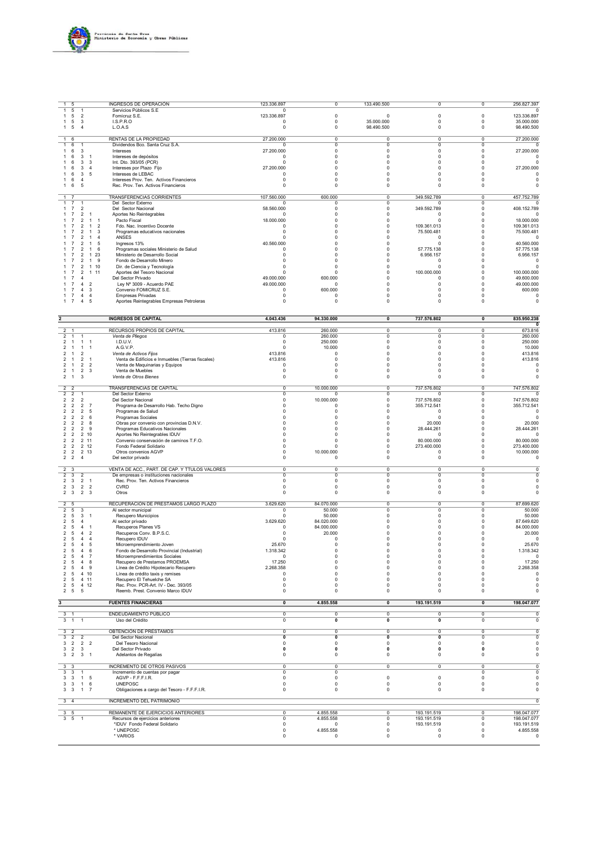

| $\overline{1}$                     | 5                                |                                  |                                                    | <b>INGRESOS DE OPERACIÓN</b>                                                        | 123.336.897               | $\overline{\mathbf{0}}$                   | 133.490.500                            | $\overline{0}$                | $\overline{\mathbf{0}}$             | 256.827.397                |
|------------------------------------|----------------------------------|----------------------------------|----------------------------------------------------|-------------------------------------------------------------------------------------|---------------------------|-------------------------------------------|----------------------------------------|-------------------------------|-------------------------------------|----------------------------|
| $\mathbf{1}$<br>-1                 | 5<br>5                           | 1<br>$\overline{2}$              |                                                    | Servicios Públicos S.E<br>Fomicruz S.E.                                             | $\Omega$<br>123.336.897   | $\mathsf 0$                               | $\mathbf 0$                            | $\mathsf 0$                   | $\mathsf 0$                         | 123.336.897                |
| -1                                 | 5                                | 3                                |                                                    | <b>I.S.P.R.O</b>                                                                    | 0                         | $\mathsf 0$                               | 35.000.000                             | 0                             | 0                                   | 35.000.000                 |
| -1                                 | 5                                | $\overline{4}$                   |                                                    | L.O.A.S                                                                             | 0                         | $\mathsf 0$                               | 98.490.500                             | $\mathbf 0$                   | 0                                   | 98.490.500                 |
| $\mathbf{1}$                       | 6                                |                                  |                                                    | RENTAS DE LA PROPIEDAD                                                              | 27.200.000                | $\mathsf 0$                               | 0                                      | $\pmb{0}$                     | 0                                   | 27.200.000                 |
| $\mathbf{1}$<br>1                  | 6<br>6                           | -1<br>3                          |                                                    | Dividendos Bco. Santa Cruz S.A.<br>Intereses                                        | $\Omega$<br>27.200.000    | $\Omega$<br>$\mathbf 0$                   | $^{\circ}$<br>$\mathbf 0$              | $\Omega$<br>$\mathbf 0$       | $\Omega$<br>$\mathbf 0$             | 0<br>27.200.000            |
| -1                                 | 6                                | 3                                | $\overline{1}$                                     | Intereses de depósitos                                                              | $\Omega$                  | $\circ$                                   | $\mathbf 0$                            | $\Omega$                      | $\mathbf 0$                         | $\Omega$                   |
|                                    | 6                                | 3                                | 3                                                  | Int. Dto. 393/05 (PCR)                                                              | 0<br>27.200.000           | $\mathbf 0$<br>$\mathbf 0$                | $\theta$                               | $\Omega$                      | $\Omega$<br>$\mathbf 0$             | $\Omega$                   |
|                                    | 6<br>6                           | 3<br>3                           | $\overline{4}$<br>5                                | Intereses por Plazo Fijo<br>Intereses de LEBAC                                      | 0                         | $\mathbf 0$                               | $\pmb{0}$<br>$\pmb{0}$                 | $^{\circ}$<br>$^{\circ}$      | $\mathbf 0$                         | 27.200.000<br>$\circ$      |
|                                    | 6                                | $\overline{4}$                   |                                                    | Intereses Prov. Ten. Activos Financieros                                            | 0                         | $^{\circ}$                                | $\circ$                                | $^{\circ}$                    | $^{\circ}$                          | $\circ$                    |
| -1                                 | 6                                | 5                                |                                                    | Rec. Prov. Ten. Activos Financieros                                                 | 0                         | $\mathsf 0$                               | $\mathsf 0$                            | $\Omega$                      | 0                                   | $\mathbf 0$                |
| $\mathbf{1}$                       |                                  |                                  |                                                    | <b>TRANSFERENCIAS CORRIENTES</b>                                                    | 107.560.000               | 600.000                                   | $\overline{\mathfrak{o}}$              | 349.592.789                   | $\overline{\mathbf{0}}$             | 457.752.789                |
| $\mathbf{1}$<br>1                  | $\overline{7}$<br>$\overline{7}$ | $\mathbf{1}$<br>$\overline{2}$   |                                                    | Del Sector Externo<br>Del Sector Nacional                                           | $\Omega$<br>58.560.000    | $\mathbf 0$<br>0                          | $\overline{\mathbf{0}}$<br>$\mathbf 0$ | $\Omega$<br>349.592.789       | $\overline{0}$<br>0                 | $\Omega$<br>408.152.789    |
| $\mathbf{1}$                       | $\overline{7}$                   | $\overline{2}$                   | $\overline{1}$                                     | Aportes No Reintegrables                                                            | $^{\circ}$                | $\mathsf 0$                               | $\pmb{0}$                              | $\Omega$                      | $\Omega$                            | $\circ$                    |
|                                    | $\overline{7}$                   | $\overline{2}$<br>$\overline{2}$ | $\overline{1}$<br>$\overline{1}$<br>$\overline{1}$ | Pacto Fiscal                                                                        | 18.000.000<br>$\Omega$    | $\mathbf 0$<br>$\Omega$                   | $\pmb{0}$<br>$\mathbf 0$               | $\Omega$<br>109.361.013       | $\Omega$<br>$\Omega$                | 18.000.000<br>109.361.013  |
|                                    |                                  | 2                                | $\overline{2}$<br>3<br>$\mathbf{1}$                | Fdo. Nac. Incentivo Docente<br>Programas educativos nacionales                      | 0                         | $\mathbf 0$                               | $\pmb{0}$                              | 75.500.481                    | $\Omega$                            | 75.500.481                 |
|                                    |                                  | $\overline{2}$                   | $\overline{4}$<br>$\overline{1}$                   | ANSES                                                                               | 0                         | $\mathbf 0$                               | $\mathbf 0$                            | $\Omega$                      | $\Omega$                            | $\Omega$                   |
|                                    |                                  | $\overline{2}$<br>$\overline{2}$ | $\mathbf{1}$<br>5<br>$\overline{1}$<br>6           | Ingresos 13%<br>Programas sociales Ministerio de Salud                              | 40.560.000<br>$^{\circ}$  | 0<br>$^{\circ}$                           | 0<br>$^{\circ}$                        | 0<br>57.775.138               | $\Omega$<br>$\Omega$                | 40.560.000<br>57.775.138   |
|                                    |                                  | $\overline{2}$                   | $\overline{1}$<br>23                               | Ministerio de Desarrollo Social                                                     | $^{\circ}$                | $^{\circ}$                                | $^{\circ}$                             | 6.956.157                     | $\Omega$                            | 6.956.157                  |
|                                    |                                  | $\overline{2}$<br>$\overline{2}$ | 9<br>$\mathbf{1}$<br>1 10                          | Fondo de Desarrollo Minero<br>Dir. de Ciencia y Tecnología                          | $^{\circ}$<br>$\Omega$    | $\Omega$<br>$\Omega$                      | $\Omega$<br>$\Omega$                   | $\Omega$<br>$\Omega$          | $\Omega$<br>$\Omega$                | $\Omega$<br>$\Omega$       |
|                                    |                                  | 2                                | 111                                                | Aportes del Tesoro Nacional                                                         | $\Omega$                  | $\mathbf 0$                               | $\mathbf 0$                            | 100.000.000                   |                                     | 100.000.000                |
|                                    |                                  | 4                                | $\overline{2}$                                     | Del Sector Privado                                                                  | 49.000.000                | 600.000<br>$^{\circ}$                     | 0<br>0                                 | $\mathbf 0$<br>$^{\circ}$     | $\Omega$<br>$\Omega$                | 49.600.000                 |
|                                    |                                  | $\overline{4}$                   | 3                                                  | Ley Nº 3009 - Acuerdo PAE<br>Convenio FOMICRUZ S.E.                                 | 49.000.000<br>$\circ$     | 600.000                                   | $\Omega$                               | $\Omega$                      | $\Omega$                            | 49.000.000<br>600.000      |
|                                    | -7                               | $\overline{a}$                   | $\overline{4}$                                     | Empresas Privadas                                                                   | $\pmb{0}$                 | $\mathsf 0$                               | $\Omega$                               | $\Omega$                      | $\Omega$                            | $\circ$                    |
|                                    | -7                               | $\overline{4}$                   | 5                                                  | Aportes Reintegrables Empresas Petroleras                                           | $\bf 0$                   | $\pmb{0}$                                 | $\mathbf 0$                            | $\Omega$                      | $\mathbf 0$                         | $\Omega$                   |
|                                    |                                  |                                  |                                                    |                                                                                     |                           |                                           |                                        |                               |                                     |                            |
|                                    |                                  |                                  |                                                    | <b>INGRESOS DE CAPITAL</b>                                                          | 4.043.436                 | 94.330.000                                | $\pmb{0}$                              | 737.576.802                   | $\pmb{0}$                           | 835.950.238                |
| $\overline{2}$                     | $\overline{1}$                   |                                  |                                                    | RECURSOS PROPIOS DE CAPITAL                                                         | 413.816                   | 260.000                                   | 0                                      | $\pmb{0}$                     | 0                                   | 673.816                    |
| $2 \t1$<br>2 <sub>1</sub>          |                                  | $\overline{1}$<br>$\mathbf{1}$   | $\overline{1}$                                     | Venta de Pliegos<br>I.D.U.V.                                                        | $\pmb{0}$<br>0            | 260.000<br>250.000                        | $\overline{\mathbf{0}}$<br>$\pmb{0}$   | $\overline{0}$<br>$\mathbf 0$ | $\overline{0}$<br>$\pmb{0}$         | 260.000<br>250.000         |
| $\overline{2}$                     | $\overline{1}$                   | $\mathbf{1}$                     | $\overline{1}$                                     | A.G.V.P.                                                                            | 0                         | 10.000                                    | $\mathbf 0$                            | $\mathbf 0$                   | $\Omega$                            | 10.000                     |
| $\overline{2}$                     | $\overline{1}$                   | $\overline{2}$                   |                                                    | Venta de Activos Fijos                                                              | 413.816                   | $\mathbf 0$                               | $\mathbf 0$<br>$\Omega$                | $\mathbf 0$                   | 0<br>$\Omega$                       | 413.816                    |
| $\overline{2}$<br>$\overline{2}$   | $\overline{1}$<br>$\overline{1}$ | 2 1<br>2 2                       |                                                    | Venta de Edificios e Inmuebles (Tierras fiscales)<br>Venta de Maquinarias y Equipos | 413.816<br>$\pmb{0}$      | $\mathsf 0$<br>$\Omega$                   | $\Omega$                               | $\Omega$<br>$\Omega$          | $\Omega$                            | 413.816<br>$\Omega$        |
| $\overline{2}$                     | $\overline{1}$                   | $\overline{2}$                   | $\mathbf{3}$                                       | Venta de Muebles                                                                    | $\pmb{0}$                 | $\mathbf 0$                               | $\Omega$                               | $\Omega$                      | $\mathbf 0$                         | $\Omega$                   |
| 2 <sub>1</sub>                     |                                  | 3                                |                                                    | Venta de Otros Bienes                                                               | $\pmb{0}$                 | $\mathsf 0$                               | 0                                      | $\pmb{0}$                     | 0                                   | 0                          |
| $\overline{2}$                     | $\overline{2}$                   |                                  |                                                    | <b>TRANSFERENCIAS DE CAPITAL</b>                                                    | $\overline{\mathfrak{o}}$ | 10.000.000                                | $\overline{\mathfrak{o}}$              | 737.576.802                   | $\overline{\mathbf{0}}$             | 747.576.802                |
| $\overline{2}$<br>$\overline{2}$   | $\overline{2}$                   | 1<br>$\overline{2}$              |                                                    | Del Sector Externo                                                                  | 0<br>0                    | 0<br>10.000.000                           | $\mathsf 0$                            | $^{\circ}$<br>737.576.802     | 0<br>$^{\circ}$                     | 747.576.802                |
| $\overline{2}$                     | $\overline{2}$<br>$\overline{2}$ | $\overline{2}$                   | $\overline{7}$                                     | Del Sector Nacional<br>Programa de Desarrollo Hab. Techo Digno                      | $\Omega$                  | $\mathbf 0$                               | $\mathbf 0$<br>$\Omega$                | 355.712.541                   | $\Omega$                            | 355.712.541                |
| $\overline{2}$                     | $\overline{2}$                   | $\overline{2}$                   | 5                                                  | Programas de Salud                                                                  | $\Omega$                  | $\mathbf 0$                               | $\Omega$                               | $\mathbf 0$                   | $\Omega$                            | $\Omega$                   |
| $\overline{2}$<br>$\overline{2}$   | $\overline{2}$<br>$\overline{2}$ | $\overline{2}$<br>$\overline{2}$ | 6<br>8                                             | Programas Sociales<br>Obras por convenio con provincias D.N.V.                      | $\Omega$                  | $\mathbf 0$<br>0                          | $\theta$<br>$\mathbf 0$                | $\pmb{0}$<br>20.000           | $\Omega$<br>$\Omega$                | $\Omega$<br>20.000         |
| $\overline{2}$                     | $\overline{2}$                   | $\overline{2}$                   | 9                                                  | Programas Educativos Nacionales                                                     | $\Omega$                  | 0                                         | $\mathbf 0$                            | 28.444.261                    | $\Omega$                            | 28.444.261                 |
| $\overline{2}$                     | $\overline{2}$                   | 2 10                             |                                                    | Aportes No Reintegrables IDUV                                                       | $\Omega$                  | $\Omega$                                  | $^{\circ}$                             | $\Omega$                      | $\Omega$<br>$\Omega$                | $\circ$                    |
| 2 <sub>2</sub><br>2 <sub>2</sub>   |                                  | 2 11<br>$2 \t12$                 |                                                    | Convenio conservación de caminos T.F.O.<br>Fondo Federal Solidario                  | $\Omega$<br>$\Omega$      | $\Omega$<br>$\Omega$                      | $\Omega$<br>$\Omega$                   | 80.000.000<br>273.400.000     | $\Omega$                            | 80.000.000<br>273.400.000  |
| 2 <sub>2</sub>                     |                                  | 2 13                             |                                                    | Otros convenios AGVP                                                                | 0                         | 10.000.000                                | $\pmb{0}$                              | 0                             | 0                                   | 10.000.000                 |
| 2 <sub>2</sub>                     |                                  | $\overline{4}$                   |                                                    | Del sector privado                                                                  | $\mathbf 0$               | $\mathbf 0$                               | $\pmb{0}$                              | $\pmb{0}$                     | $\pmb{0}$                           | $\mathbf 0$                |
| $\overline{2}$                     | 3                                |                                  |                                                    | VENTA DE ACC., PART. DE CAP. Y TTULOS VALORES                                       | $\overline{0}$            | $\overline{\mathbf{0}}$                   | $\overline{\mathbf{0}}$                | $\overline{0}$                | 0                                   | $\Omega$                   |
| $\overline{2}$<br>$2 \quad 3$      | 3                                | $\overline{2}$<br>$\overline{2}$ | $\overline{1}$                                     | De empresas o instituciones nacionales<br>Rec. Prov. Ten. Activos Financieros       | $\pmb{0}$<br>$\pmb{0}$    | 0<br>$\mathsf 0$                          | $\mathsf 0$<br>$\mathsf 0$             | 0<br>0                        | 0<br>0                              | $\circ$<br>$\circ$         |
| 2 <sub>3</sub>                     |                                  | $\overline{2}$                   | $\overline{2}$                                     | <b>CVRD</b>                                                                         | 0                         | $\mathbf 0$                               | $\pmb{0}$                              | $\mathbf 0$                   | $\pmb{0}$                           | $\circ$                    |
| $\overline{2}$                     | $\mathbf{3}$                     | $\overline{2}$                   | 3                                                  | Otros                                                                               | 0                         | $\mathbf 0$                               | $\pmb{0}$                              | $\mathbf 0$                   | 0                                   | 0                          |
| $\overline{2}$                     | 5                                |                                  |                                                    | RECUPERACIÓN DE PRESTAMOS LARGO PLAZO                                               | 3.629.620                 | 84.070.000                                | 0                                      | $\pmb{0}$                     | 0                                   | 87.699.620                 |
| 2 <sub>5</sub><br>2 <sub>5</sub>   |                                  | 3                                |                                                    | Al sector municipal<br>Recupero Municipios                                          | $\circ$<br>$\mathsf 0$    | 50.000<br>50.000                          | 0<br>$\mathbf 0$                       | 0<br>$\mathbf 0$              | $\Omega$<br>$\mathbf 0$             | 50.000                     |
| 2 <sub>5</sub>                     |                                  | 3 <sub>1</sub><br>$\overline{4}$ |                                                    | Al sector privado                                                                   | 3.629.620                 | 84.020.000                                | $\Omega$                               | $\Omega$                      | $\Omega$                            | 50.000<br>87.649.620       |
| $\overline{2}$                     | 5                                | $\overline{4}$                   | $\overline{1}$                                     | Recuperos Planes VS                                                                 | 0                         | 84.000.000                                | $\pmb{0}$                              | $\Omega$                      | $\Omega$                            | 84.000.000                 |
| $\overline{2}$<br>$\overline{2}$   | 5<br>5                           | $\overline{4}$<br>$\overline{4}$ | $\overline{2}$<br>$\overline{4}$                   | Recuperos Conv. B.P.S.C.<br>Recupero IDUV                                           | $^{\circ}$<br>0           | 20.000<br>$\mathsf 0$                     | $\pmb{0}$<br>$\pmb{0}$                 | $^{\circ}$<br>$^{\circ}$      | $\Omega$<br>$\mathbf 0$             | 20.000<br>$\mathbf 0$      |
| 2 5                                |                                  | $\overline{4}$                   | 5                                                  | Microemprendimiento Joven                                                           | 25.670                    | $\Omega$                                  | $\Omega$                               | $\Omega$                      |                                     | 25.670                     |
| $\overline{a}$                     | $\sqrt{5}$                       | $\overline{4}$                   | 6                                                  | Fondo de Desarrollo Provincial (Industrial)                                         | 1.318.342                 | $\pmb{0}$                                 | 0                                      | 0                             | $\pmb{0}$                           | 1.318.342                  |
| 2 <sub>5</sub><br>2 <sub>5</sub>   |                                  | 4 7<br>4 8                       |                                                    | Microemprendimientos Sociales<br>Recupero de Prestamos PROEMSA                      | 0<br>17.250               | 0<br>$\mathbf 0$                          | $\pmb{0}$<br>$\pmb{0}$                 | 0<br>$\mathbf 0$              | 0<br>$\pmb{0}$                      | $\Omega$<br>17.250         |
| 2 <sub>5</sub>                     |                                  | 4 9                              |                                                    | Línea de Crédito Hipotecario Recupero                                               | 2.268.358                 | $\mathbf 0$                               | $\pmb{0}$                              | $\mathbf 0$                   | $\Omega$                            | 2.268.358                  |
|                                    |                                  | 2 5 4 10<br>2 5 4 11             |                                                    | Línea de crédito taxis y remises<br>Recupero El Tehuelche SA                        | 0<br>0                    | $\mathbf 0$<br>$^{\circ}$                 | $^{\circ}$<br>$^{\circ}$               | $^{\circ}$<br>$\Omega$        | $^{\circ}$<br>$\Omega$              | $\mathbf 0$<br>$^{\circ}$  |
|                                    |                                  | 2 5 4 12                         |                                                    | Rec. Prov. PCR-Art. IV - Dec. 393/05                                                | 0                         | 0                                         | $\mathsf 0$                            | 0                             | 0                                   | $^{\circ}$                 |
|                                    | $2\quad 5\quad 5$                |                                  |                                                    | Reemb. Prest. Convenio Marco IDUV                                                   | $\pmb{0}$                 | 0                                         | 0                                      | $\Omega$                      | 0                                   | $\Omega$                   |
| $\overline{\mathbf{3}}$            |                                  |                                  |                                                    | <b>FUENTES FINANCIERAS</b>                                                          | $\mathbf 0$               | 4.855.558                                 | $\pmb{0}$                              | 193.191.519                   | $\pmb{0}$                           | 198.047.077                |
| $3 - 1$                            |                                  |                                  |                                                    | ENDEUDAMIENTO PÚBLICO                                                               | $\overline{0}$            | $\overline{\mathbf{0}}$                   | $\overline{\mathbf{0}}$                | $\circ$                       | $\overline{\mathfrak{o}}$           | $^{\circ}$                 |
| $3 - 1$                            |                                  | $\overline{1}$                   |                                                    | Uso del Crédito                                                                     | $\pmb{0}$                 | 0                                         | 0                                      | $\mathbf 0$                   | 0                                   | 0                          |
|                                    |                                  |                                  |                                                    | OBTENCIÓN DE PRÉSTAMOS                                                              |                           |                                           |                                        |                               | $\Omega$                            |                            |
| 3 <sub>2</sub><br>$3\overline{2}$  |                                  | $\overline{2}$                   |                                                    | Del Sector Nacional                                                                 | $\pmb{0}$<br>0            | $\mathsf 0$<br>0                          | 0<br>0                                 | 0<br>0                        | 0                                   | $\mathsf 0$<br>$\mathsf 0$ |
|                                    |                                  | 3 2 2 2                          |                                                    | Del Tesoro Nacional                                                                 | 0                         | 0                                         | 0                                      | 0                             | 0                                   | $\mathbf 0$                |
|                                    | $3\quad 2\quad 3$                | $3 \quad 2 \quad 3 \quad 1$      |                                                    | Del Sector Privado<br>Adelantos de Regalías                                         | 0<br>0                    | $\mathbf 0$<br>$\mathsf 0$                | $\mathbf 0$<br>$^{\circ}$              | $\mathbf 0$<br>0              | 0<br>0                              | 0<br>$^{\circ}$            |
|                                    |                                  |                                  |                                                    |                                                                                     |                           |                                           |                                        |                               |                                     |                            |
| $3 \overline{3}$<br>3 <sup>3</sup> |                                  |                                  |                                                    | <b>INCREMENTO DE OTROS PASIVOS</b><br>Incremento de cuentas por pagar               | 0<br>$\overline{0}$       | $\overline{0}$<br>$\overline{\mathbf{0}}$ | $\overline{0}$                         | $\overline{0}$                | $\Omega$<br>$\overline{\mathbf{0}}$ | $\Omega$<br>$\overline{0}$ |
| 3 <sub>3</sub>                     |                                  | -1.<br>1 5                       |                                                    | AGVP - F.F.F.I.R.                                                                   | $\pmb{0}$                 | 0                                         | $\mathsf 0$                            | $\pmb{0}$                     | 0                                   | $\mathbf 0$                |
| 3 <sub>3</sub>                     |                                  | $\overline{1}$                   | 6                                                  | <b>UNEPOSC</b>                                                                      | 0                         | $\pmb{0}$                                 | $\mathbf 0$                            | 0                             | 0                                   | $\mathsf 0$                |
| 3 <sub>3</sub>                     |                                  | $\overline{1}$                   | $\overline{7}$                                     | Obligaciones a cargo del Tesoro - F.F.F.I.R.                                        | 0                         | $^{\circ}$                                | 0                                      | $^{\circ}$                    | 0                                   | 0                          |
| $3 \quad 4$                        |                                  |                                  |                                                    | <b>INCREMENTO DEL PATRIMONIO</b>                                                    |                           |                                           |                                        |                               |                                     | $\overline{\mathbf{0}}$    |
| 3 <sub>5</sub>                     |                                  |                                  |                                                    | REMANENTE DE EJERCICIOS ANTERIORES                                                  | 0                         | 4.855.558                                 | 0                                      | 193.191.519                   | 0                                   | 198.047.077                |
| 3 <sub>5</sub>                     |                                  |                                  |                                                    | Recursos de ejercicios anteriores                                                   | $\pmb{0}$                 | 4.855.558                                 | 0                                      | 193.191.519                   | 0                                   | 198.047.077                |
|                                    |                                  |                                  |                                                    | *IDUV Fondo Federal Solidario<br>* UNEPOSC                                          | $\pmb{0}$<br>0            | $^{\circ}$                                | 0<br>$^{\circ}$                        | 193.191.519<br>0              | 0<br>0                              | 193.191.519<br>4.855.558   |
|                                    |                                  |                                  |                                                    | * VARIOS                                                                            | $\pmb{0}$                 | 4.855.558<br>0                            | 0                                      | $\mathbf 0$                   | 0                                   | $\mathbf 0$                |
|                                    |                                  |                                  |                                                    |                                                                                     |                           |                                           |                                        |                               |                                     |                            |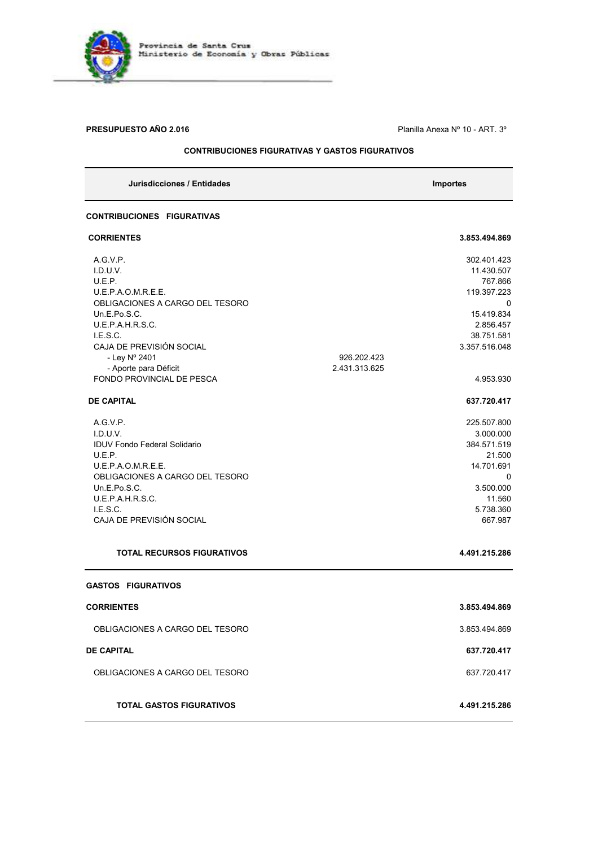

**PRESUPUESTO AÑO 2.016 PRESUPUESTO AÑO 2.016 Planilla Anexa N° 10 - ART. 3°** 

### **CONTRIBUCIONES FIGURATIVAS Y GASTOS FIGURATIVOS**

| Jurisdicciones / Entidades                         |                              | <b>Importes</b>             |
|----------------------------------------------------|------------------------------|-----------------------------|
| <b>CONTRIBUCIONES FIGURATIVAS</b>                  |                              |                             |
| <b>CORRIENTES</b>                                  |                              | 3.853.494.869               |
| A.G.V.P.                                           |                              | 302.401.423                 |
| I.D.U.V.                                           |                              | 11.430.507                  |
| U.E.P.                                             |                              | 767.866                     |
| U.E.P.A.O.M.R.E.E.                                 |                              | 119.397.223                 |
| OBLIGACIONES A CARGO DEL TESORO                    |                              | 0                           |
| Un.E.Po.S.C.                                       |                              | 15.419.834                  |
| U.E.P.A.H.R.S.C.                                   |                              | 2.856.457                   |
| I.E.S.C.<br>CAJA DE PREVISIÓN SOCIAL               |                              | 38.751.581<br>3.357.516.048 |
| - Ley Nº 2401                                      |                              |                             |
|                                                    | 926.202.423<br>2.431.313.625 |                             |
| - Aporte para Déficit<br>FONDO PROVINCIAL DE PESCA |                              | 4.953.930                   |
|                                                    |                              |                             |
| <b>DE CAPITAL</b>                                  |                              | 637.720.417                 |
| AGVP.                                              |                              | 225.507.800                 |
| I.D.U.V.                                           |                              | 3.000.000                   |
| <b>IDUV Fondo Federal Solidario</b>                |                              | 384.571.519                 |
| U.E.P.                                             |                              | 21.500                      |
| U.E.P.A.O.M.R.E.E.                                 |                              | 14.701.691                  |
| OBLIGACIONES A CARGO DEL TESORO                    |                              | 0                           |
| Un.E.Po.S.C.                                       |                              | 3.500.000                   |
| U.E.P.A.H.R.S.C.                                   |                              | 11.560                      |
| I.E.S.C.                                           |                              | 5.738.360                   |
| CAJA DE PREVISIÓN SOCIAL                           |                              | 667.987                     |
| <b>TOTAL RECURSOS FIGURATIVOS</b>                  |                              | 4.491.215.286               |
| <b>GASTOS FIGURATIVOS</b>                          |                              |                             |
| <b>CORRIENTES</b>                                  |                              | 3.853.494.869               |
| OBLIGACIONES A CARGO DEL TESORO                    |                              | 3.853.494.869               |
| <b>DE CAPITAL</b>                                  |                              | 637.720.417                 |
|                                                    |                              |                             |
| OBLIGACIONES A CARGO DEL TESORO                    |                              | 637.720.417                 |
| <b>TOTAL GASTOS FIGURATIVOS</b>                    |                              | 4.491.215.286               |
|                                                    |                              |                             |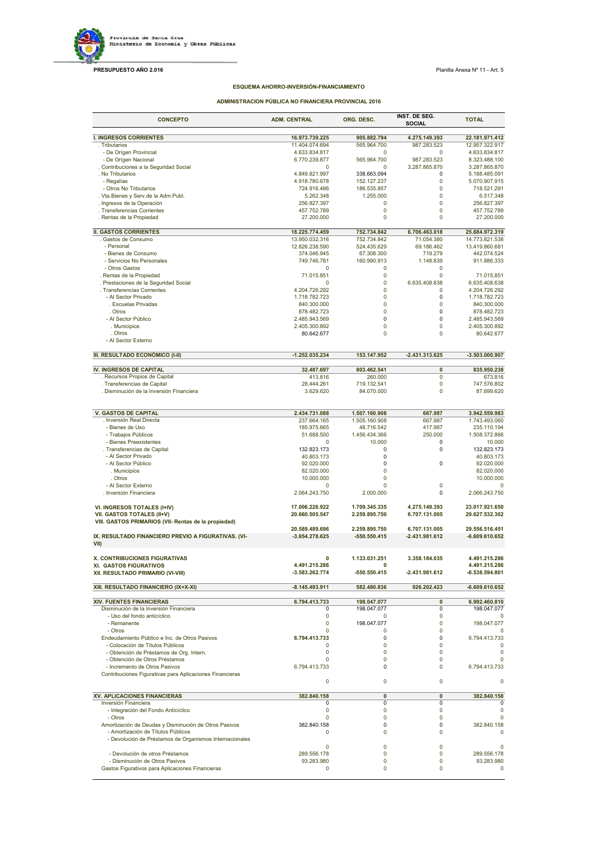

### **PRESUPUESTO AÑO 2.016 Planilla Anexa N° 11 - Art. 5 Planilla Anexa N° 11 - Art.** 5

### **ESQUEMA AHORRO-INVERSIÓN-FINANCIAMIENTO**

### **ADMINISTRACION PÚBLICA NO FINANCIERA PROVINCIAL 2016**

| <b>CONCEPTO</b>                                                                             | <b>ADM. CENTRAL</b>              | ORG. DESC.                 | INST. DE SEG.<br><b>SOCIAL</b> | <b>TOTAL</b>                     |
|---------------------------------------------------------------------------------------------|----------------------------------|----------------------------|--------------------------------|----------------------------------|
| <b>I. INGRESOS CORRIENTES</b>                                                               | 16.973.739.225                   | 905.882.794                | 4.275.149.393                  | 22.181.971.412                   |
| . Tributarios                                                                               | 11.404.074.694                   | 565.964.700                | 987.283.523                    | 12.957.322.917                   |
| - De Orígen Provincial                                                                      | 4.633.834.817                    | $\Omega$                   | 0                              | 4.633.834.817                    |
| - De Orígen Nacional                                                                        | 6.770.239.877                    | 565.964.700                | 987.283.523                    | 8.323.488.100                    |
| . Contribuciones a la Seguridad Social<br>. No Tributarios                                  | $\Omega$<br>4.849.821.997        | 0<br>338.663.094           | 3.287.865.870<br>0             | 3.287.865.870<br>5.188.485.091   |
| - Regalías                                                                                  | 4.918.780.678                    | 152.127.237                | $\mathbf 0$                    | 5.070.907.915                    |
| - Otros No Tributarios                                                                      | 724.916.486                      | 186.535.857                | $\mathbf 0$                    | 718.521.291                      |
| . Vta. Bienes y Serv.de la Adm. Publ.                                                       | 5.262.348                        | 1.255.000                  | $\mathbf 0$                    | 6.517.348                        |
| . Ingresos de la Operación                                                                  | 256.827.397                      | 0<br>0                     | $\mathbf 0$<br>$\mathbf 0$     | 256.827.397                      |
| . Transferencias Corrientes<br>. Rentas de la Propiedad                                     | 457.752.789<br>27.200.000        | 0                          | $\mathbf 0$                    | 457.752.789<br>27.200.000        |
|                                                                                             |                                  |                            |                                |                                  |
| <b>II. GASTOS CORRIENTES</b>                                                                | 18.225.774.459                   | 752.734.842                | 6.706.463.018                  | 25.684.972.319                   |
| . Gastos de Consumo<br>- Personal                                                           | 13.950.032.316<br>12.826.238.590 | 752.734.842<br>524.435.629 | 71.054.380<br>69.186.462       | 14.773.821.538<br>13.419.860.681 |
| - Bienes de Consumo                                                                         | 374.046.945                      | 67.308.300                 | 719.279                        | 442.074.524                      |
| - Servicios No Personales                                                                   | 749.746.781                      | 160.990.913                | 1.148.639                      | 911.886.333                      |
| - Otros Gastos                                                                              | $\Omega$                         | 0                          | 0                              |                                  |
| . Rentas de la Propiedad                                                                    | 71.015.851                       | $\mathbf 0$                | $\mathbf 0$                    | 71.015.851                       |
| . Prestaciones de la Seguridad Social<br>. Transferencias Corrientes                        | $\mathbf 0$<br>4.204.726.292     | $\mathbf 0$<br>$\mathbf 0$ | 6.635.408.638<br>$\mathbf 0$   | 6.635.408.638<br>4.204.726.292   |
| - Al Sector Privado                                                                         | 1.718.782.723                    | $\mathbf 0$                | 0                              | 1.718.782.723                    |
| . Escuelas Privadas                                                                         | 840.300.000                      | 0                          | 0                              | 840.300.000                      |
| . Otros                                                                                     | 878.482.723                      | $\mathbf 0$                | 0                              | 878.482.723                      |
| - Al Sector Público                                                                         | 2.485.943.569                    | 0                          | 0                              | 2.485.943.569                    |
| . Municipios<br>. Otros                                                                     | 2.405.300.892                    | $\mathbf 0$<br>$\mathbf 0$ | $\mathbf 0$<br>$\mathbf 0$     | 2.405.300.892                    |
| - Al Sector Externo                                                                         | 80.642.677                       |                            |                                | 80.642.677                       |
|                                                                                             |                                  |                            |                                |                                  |
| III. RESULTADO ECONÓMICO (I-II)                                                             | $-1.252.035.234$                 | 153.147.952                | $-2.431.313.625$               | $-3.503.000.907$                 |
| IV. INGRESOS DE CAPITAL                                                                     | 32.487.697                       | 803.462.541                | 0                              | 835.950.238                      |
| . Recursos Propios de Capital                                                               | 413.816                          | 260.000                    | 0                              | 673.816                          |
| . Transferencias de Capital                                                                 | 28.444.261                       | 719.132.541                | 0                              | 747.576.802                      |
| . Disminución de la Inversión Financiera                                                    | 3.629.620                        | 84.070.000                 | $\mathbf 0$                    | 87.699.620                       |
|                                                                                             |                                  |                            |                                |                                  |
| <b>V. GASTOS DE CAPITAL</b>                                                                 | 2.434.731.088                    | 1.507.160.908              | 667.987                        | 3.942.559.983                    |
| . Inversión Real Directa                                                                    | 237.664.165                      | 1.505.160.908              | 667.987                        | 1.743.493.060                    |
| - Bienes de Uso                                                                             | 185.975.665                      | 48.716.542                 | 417.987                        | 235.110.194                      |
| - Trabajos Públicos<br>- Bienes Preexistentes                                               | 51.688.500<br>$\mathbf 0$        | 1.456.434.366<br>10.000    | 250.000<br>0                   | 1.508.372.866<br>10.000          |
| . Transferencias de Capital                                                                 | 132.823.173                      | 0                          | $\mathbf 0$                    | 132.823.173                      |
| - Al Sector Privado                                                                         | 40.803.173                       | 0                          |                                | 40.803.173                       |
| - Al Sector Público                                                                         | 92.020.000                       | 0                          | 0                              | 92.020.000                       |
| . Municipios                                                                                | 82.020.000                       | 0                          |                                | 82.020.000                       |
| . Otros                                                                                     | 10.000.000                       | 0                          | 0                              | 10.000.000<br>0                  |
| - Al Sector Externo<br>. Inversión Financiera                                               | 0<br>2.064.243.750               | 0<br>2.000.000             | $\Omega$                       | 2.066.243.750                    |
|                                                                                             |                                  |                            |                                |                                  |
| VI. INGRESOS TOTALES (I+IV)                                                                 | 17.006.226.922                   | 1.709.345.335              | 4.275.149.393                  | 23.017.921.650                   |
| VII. GASTOS TOTALES (II+V)                                                                  | 20.660.505.547                   | 2.259.895.750              | 6.707.131.005                  | 29.627.532.302                   |
| VIII. GASTOS PRIMARIOS (VII- Rentas de la propiedad)                                        | 20.589.489.696                   | 2.259.895.750              | 6.707.131.005                  | 29.556.516.451                   |
| IX. RESULTADO FINANCIERO PREVIO A FIGURATIVAS. (VI-                                         | -3.654.278.625                   | $-550.550.415$             | -2.431.981.612                 | -6.609.610.652                   |
| VII)                                                                                        |                                  |                            |                                |                                  |
|                                                                                             | $\mathbf 0$                      |                            |                                | 4.491.215.286                    |
| X. CONTRIBUCIONES FIGURATIVAS<br>XI. GASTOS FIGURATIVOS                                     | 4.491.215.286                    | 1.133.031.251              | 3.358.184.035                  | 4.491.215.286                    |
| XII. RESULTADO PRIMARIO (VI-VIII)                                                           | -3.583.262.774                   | -550.550.415               | $-2.431.981.612$               | -6.538.594.801                   |
| XIII. RESULTADO FINANCIERO (IX+X-XI)                                                        | $-8.145.493.911$                 | 582.480.836                | 926.202.423                    | $-6.609.610.652$                 |
|                                                                                             |                                  |                            |                                |                                  |
| XIV. FUENTES FINANCIERAS                                                                    | 6.794.413.733                    | 198.047.077                | 0                              | 6.992.460.810                    |
| Disminución de la Inversión Financiera<br>- Uso del fondo anticíclico                       | 0<br>$\mathbf 0$                 | 198.047.077<br>0           | 0<br>0                         | 198.047.077<br>0                 |
| - Remanente                                                                                 | 0                                | 198.047.077                | 0                              | 198.047.077                      |
| - Otros                                                                                     | $\mathbf 0$                      | 0                          | 0                              | $\Omega$                         |
| Endeudamiento Público e Inc. de Otros Pasivos                                               | 6.794.413.733                    | 0                          | 0                              | 6.794.413.733                    |
| - Colocación de Títulos Públicos                                                            | $\mathbf 0$                      | 0                          | $\mathbf 0$                    | $\Omega$                         |
| - Obtención de Préstamos de Org. Intern.<br>- Obtención de Otros Préstamos                  | $\mathbf 0$<br>$\mathbf 0$       | 0<br>0                     | $\mathbf 0$<br>0               | $\mathbf 0$<br>0                 |
| - Incremento de Otros Pasivos                                                               | 6.794.413.733                    | 0                          | $\mathbf 0$                    | 6.794.413.733                    |
| Contribuciones Figurativas para Aplicaciones Financieras                                    |                                  |                            |                                |                                  |
|                                                                                             | $\mathbf 0$                      | 0                          | 0                              | 0                                |
| XV. APLICACIONES FINANCIERAS                                                                | 382.840.158                      | 0                          | $\pmb{0}$                      | 382.840.158                      |
| Inversión Financiera                                                                        | $\mathbf 0$                      | 0                          | 0                              |                                  |
| - Integración del Fondo Anticíclico                                                         | $\pmb{0}$                        | 0                          | 0                              | 0                                |
| - Otros                                                                                     | $\pmb{0}$                        | 0                          | 0                              | 0                                |
| Amortización de Deudas y Disminución de Otros Pasivos<br>- Amortización de Títulos Públicos | 382.840.158<br>$\mathbf 0$       | 0<br>0                     | 0<br>$\mathbf 0$               | 382.840.158<br>0                 |
| - Devolución de Préstamos de Organismos Internacionales                                     |                                  |                            |                                |                                  |
|                                                                                             | 0                                | 0                          | 0                              | 0                                |
| - Devolución de otros Préstamos                                                             | 289.556.178                      | 0                          | 0                              | 289.556.178                      |
| - Disminución de Otros Pasivos<br>Gastos Figurativos para Aplicaciones Financieras          | 93.283.980<br>0                  | 0<br>0                     | 0<br>0                         | 93.283.980<br>0                  |
|                                                                                             |                                  |                            |                                |                                  |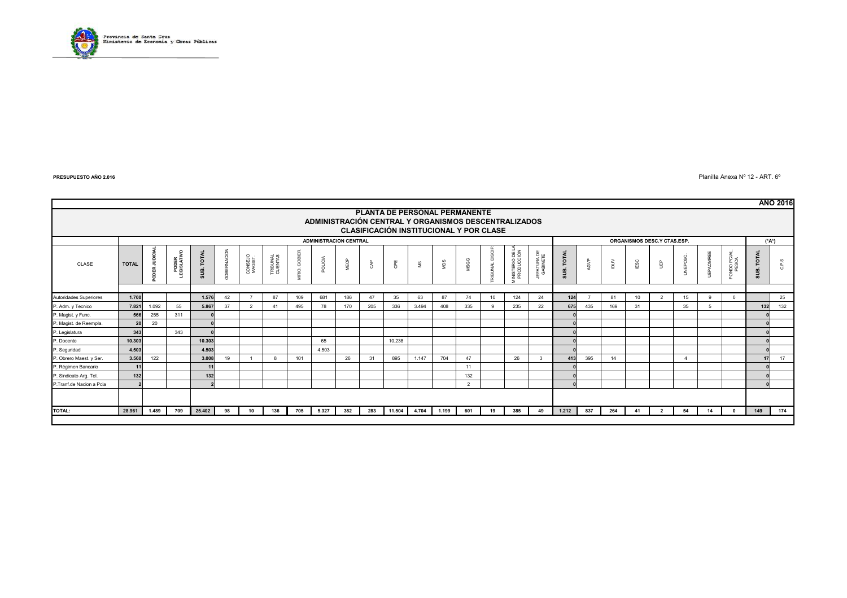

 $\epsilon$   $\epsilon$  Planilla Anexa N° 12 - ART.  $6^{\circ}$ 

|                          |                                                                                                                                         |                                                              |                    |                                   |             |                    |                     |                    |         |      |     |              |       |       |      |               |                              |                         |               |      |        |                 |                |                |         |                       |                                      | <b>AÑO 2016</b> |
|--------------------------|-----------------------------------------------------------------------------------------------------------------------------------------|--------------------------------------------------------------|--------------------|-----------------------------------|-------------|--------------------|---------------------|--------------------|---------|------|-----|--------------|-------|-------|------|---------------|------------------------------|-------------------------|---------------|------|--------|-----------------|----------------|----------------|---------|-----------------------|--------------------------------------|-----------------|
|                          | PLANTA DE PERSONAL PERMANENTE<br>ADMINISTRACIÓN CENTRAL Y ORGANISMOS DESCENTRALIZADOS<br><b>CLASIFICACIÓN INSTITUCIONAL Y POR CLASE</b> |                                                              |                    |                                   |             |                    |                     |                    |         |      |     |              |       |       |      |               |                              |                         |               |      |        |                 |                |                |         |                       |                                      |                 |
|                          |                                                                                                                                         | <b>ADMINISTRACION CENTRAL</b><br>ORGANISMOS DESC.Y CTAS.ESP. |                    |                                   |             |                    |                     |                    |         |      |     |              | (*A*) |       |      |               |                              |                         |               |      |        |                 |                |                |         |                       |                                      |                 |
| CLASE                    | <b>TOTAL</b>                                                                                                                            | <b>JUDICIA</b><br>ODER.                                      | PODER<br>GISLATIVO | <b>B. TOTAL</b><br>$\overline{a}$ | GOBERNACION | CONSEJO<br>MAGIST. | TRIBUNAL<br>CUENTAS | GOBIER.<br>$\circ$ | POLICIA | MEOP | CAP | G₽E          | S™    | MDS   | MSGG | RIBUNAL DISCI | INISTERIO DE L<br>PRODUCCIÓN | JEFATURA DE<br>GABINETE | TOTAL<br>SUB. | AGVP | $\geq$ | IESC            | ШP             | UNEPOSC.       | OMREE   | FONDO PCIAL.<br>PESCA | <b>TOTAL</b><br>ம்<br>$\overline{a}$ | ဖ<br>Δ<br>-c5   |
|                          |                                                                                                                                         |                                                              |                    |                                   |             |                    |                     |                    |         |      |     |              |       |       |      |               |                              |                         |               |      |        |                 |                |                |         |                       |                                      |                 |
| Autoridades Superiores   | 1.700                                                                                                                                   |                                                              |                    | 1.576                             | 42          |                    | 87                  | 109                | 681     | 186  | 47  | 35           | 63    | 87    | 74   | 10            | 124                          | 24                      | 124           |      | 81     | 10 <sup>1</sup> | $\overline{2}$ | 15             | $\circ$ | $\Omega$              |                                      | 25              |
| P. Adm. y Tecnico        | 7.821                                                                                                                                   | 1.092                                                        | 55                 | 5.867                             | 37          | $\overline{2}$     | 41                  | 495                | 78      | 170  | 205 | 336          | 3.494 | 408   | 335  | $\mathbf{Q}$  | 235                          | 22                      | 675           | 435  | 169    | 31              |                | 35             | 5       |                       | 132                                  | 132             |
| P. Magist. y Func.       | 566                                                                                                                                     | 255                                                          | 311                |                                   |             |                    |                     |                    |         |      |     |              |       |       |      |               |                              |                         |               |      |        |                 |                |                |         |                       |                                      |                 |
| P. Magist. de Reempla.   | 20                                                                                                                                      | 20                                                           |                    |                                   |             |                    |                     |                    |         |      |     |              |       |       |      |               |                              |                         |               |      |        |                 |                |                |         |                       |                                      |                 |
| P. Legislatura           | 343                                                                                                                                     |                                                              | 343                |                                   |             |                    |                     |                    |         |      |     |              |       |       |      |               |                              |                         |               |      |        |                 |                |                |         |                       |                                      |                 |
| P. Docente               | 10.303                                                                                                                                  |                                                              |                    | 10.303                            |             |                    |                     |                    | 65      |      |     | 10.238       |       |       |      |               |                              |                         |               |      |        |                 |                |                |         |                       |                                      |                 |
| P. Seguridad             | 4.503                                                                                                                                   |                                                              |                    | 4.503                             |             |                    |                     |                    | 4.503   |      |     |              |       |       |      |               |                              |                         |               |      |        |                 |                |                |         |                       |                                      |                 |
| P. Obrero Maest. y Ser.  | 3.560                                                                                                                                   | 122                                                          |                    | 3.008                             | 19          |                    |                     | 101                |         | 26   | 31  | 895          | 1.147 | 704   | 47   |               | 26                           | 3                       | 413           | 395  | 14     |                 |                | $\overline{4}$ |         |                       | 17                                   | 17              |
| P. Régimen Bancario      | 11                                                                                                                                      |                                                              |                    | 11                                |             |                    |                     |                    |         |      |     |              |       |       | 11   |               |                              |                         |               |      |        |                 |                |                |         |                       |                                      |                 |
| P. Sindicato Arg. Tel.   | 132                                                                                                                                     |                                                              |                    | 132                               |             |                    |                     |                    |         |      |     |              |       |       | 132  |               |                              |                         |               |      |        |                 |                |                |         |                       |                                      |                 |
| P.Tranf.de Nacion a Pcia |                                                                                                                                         |                                                              |                    |                                   |             |                    |                     |                    |         |      |     |              |       |       | 2    |               |                              |                         |               |      |        |                 |                |                |         |                       |                                      |                 |
|                          |                                                                                                                                         |                                                              |                    |                                   |             |                    |                     |                    |         |      |     |              |       |       |      |               |                              |                         |               |      |        |                 |                |                |         |                       |                                      |                 |
| <b>TOTAL:</b>            | 28.961                                                                                                                                  | 1.489                                                        | 709                | 25.402                            | 98          | 10                 | 136                 | 705                | 5.327   | 382  | 283 | 11.504 4.704 |       | 1.199 | 601  | 19            | 385                          | 49                      | 1.212         | 837  | 264    | 41              | $\overline{2}$ | 54             | 14      | $^{\circ}$            | 149                                  | 174             |
|                          |                                                                                                                                         |                                                              |                    |                                   |             |                    |                     |                    |         |      |     |              |       |       |      |               |                              |                         |               |      |        |                 |                |                |         |                       |                                      |                 |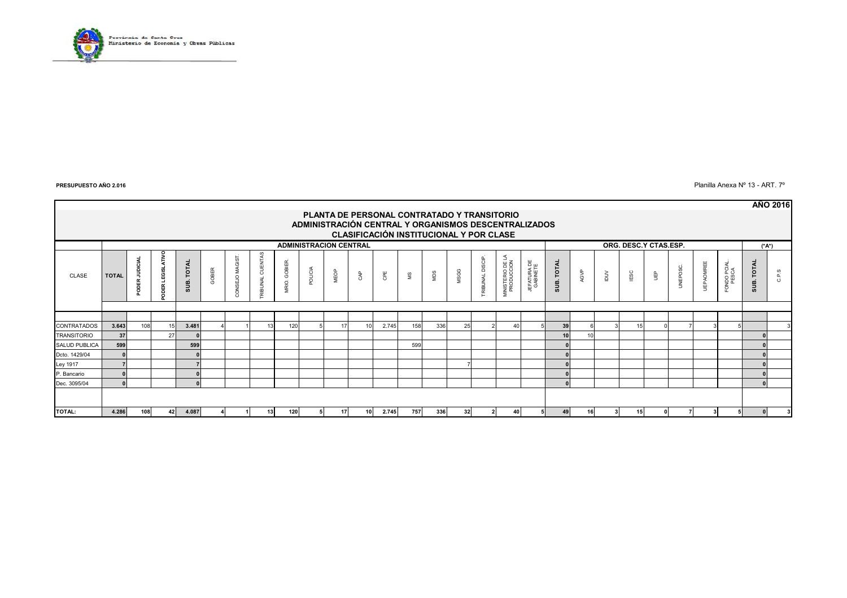

 $\blacksquare$  Planilla Anexa Nº 13 - ART. 7º

|                      |                                                                                                     |                            |                                     |                   |       |                      |                    |              |         |      |                 |       |     |     |      |                |                                |                         |            |      |        |          |   |          |                  |                       |            | <b>AÑO 2016</b> |
|----------------------|-----------------------------------------------------------------------------------------------------|----------------------------|-------------------------------------|-------------------|-------|----------------------|--------------------|--------------|---------|------|-----------------|-------|-----|-----|------|----------------|--------------------------------|-------------------------|------------|------|--------|----------|---|----------|------------------|-----------------------|------------|-----------------|
|                      | PLANTA DE PERSONAL CONTRATADO Y TRANSITORIO<br>ADMINISTRACIÓN CENTRAL Y ORGANISMOS DESCENTRALIZADOS |                            |                                     |                   |       |                      |                    |              |         |      |                 |       |     |     |      |                |                                |                         |            |      |        |          |   |          |                  |                       |            |                 |
|                      | CLASIFICACIÓN INSTITUCIONAL Y POR CLASE                                                             |                            |                                     |                   |       |                      |                    |              |         |      |                 |       |     |     |      |                |                                |                         |            |      |        |          |   |          |                  |                       |            |                 |
|                      | ORG. DESC.Y CTAS.ESP.<br><b>ADMINISTRACION CENTRAL</b>                                              |                            |                                     |                   |       |                      |                    |              |         |      |                 | (*A*) |     |     |      |                |                                |                         |            |      |        |          |   |          |                  |                       |            |                 |
| CLASE                | <b>TOTAL</b>                                                                                        | JUDICIA<br>DER<br>$\Omega$ | 툿<br><b>LEGISL</b><br>ᄒ<br>$\Omega$ | <b>SUB. TOTAL</b> | GOBER | <b>DNSEJO MAGIST</b> | CUENTA:<br>RIBUNAL | VRIO. GOBIER | POLICIA | MEOP | දි              | Œ     | 9   | MDS | MSGG | RIBUNAL DISCIP | MINISTERIO DE LA<br>PRODUCCION | JEFATURA DE<br>GABINETE | SUB. TOTAL | AGVP | $\geq$ | ESC<br>E | ĝ | UNEPOSC. | <b>UEPAOMREE</b> | FONDO PCIAL.<br>PESCA | SUB. TOTAL | C.P.S           |
|                      |                                                                                                     |                            |                                     |                   |       |                      |                    |              |         |      |                 |       |     |     |      |                |                                |                         |            |      |        |          |   |          |                  |                       |            |                 |
|                      |                                                                                                     |                            |                                     |                   |       |                      |                    |              |         |      |                 |       |     |     |      |                |                                |                         |            |      |        |          |   |          |                  |                       |            |                 |
| <b>CONTRATADOS</b>   | 3.643                                                                                               | 108                        |                                     | 3.481             |       |                      |                    | 120          |         | 17   |                 | 2.745 | 158 | 336 | 25   |                | 40                             |                         | 39         |      |        | 15       |   |          |                  |                       |            |                 |
| <b>TRANSITORIO</b>   | 37                                                                                                  |                            | 27                                  |                   |       |                      |                    |              |         |      |                 |       |     |     |      |                |                                |                         |            |      |        |          |   |          |                  |                       |            |                 |
| <b>SALUD PUBLICA</b> | 599                                                                                                 |                            |                                     | 599               |       |                      |                    |              |         |      |                 |       | 599 |     |      |                |                                |                         |            |      |        |          |   |          |                  |                       |            |                 |
| Dcto. 1429/04        | $\Omega$                                                                                            |                            |                                     |                   |       |                      |                    |              |         |      |                 |       |     |     |      |                |                                |                         |            |      |        |          |   |          |                  |                       |            |                 |
| Ley 1917             |                                                                                                     |                            |                                     |                   |       |                      |                    |              |         |      |                 |       |     |     |      |                |                                |                         |            |      |        |          |   |          |                  |                       |            |                 |
| P. Bancario          |                                                                                                     |                            |                                     |                   |       |                      |                    |              |         |      |                 |       |     |     |      |                |                                |                         |            |      |        |          |   |          |                  |                       |            |                 |
| Dec. 3095/04         | $\Omega$                                                                                            |                            |                                     | $\Omega$          |       |                      |                    |              |         |      |                 |       |     |     |      |                |                                |                         |            |      |        |          |   |          |                  |                       |            |                 |
|                      |                                                                                                     |                            |                                     |                   |       |                      |                    |              |         |      |                 |       |     |     |      |                |                                |                         |            |      |        |          |   |          |                  |                       |            |                 |
| TOTAL:               | 4.286                                                                                               | 108                        | 42                                  | 4.087             |       |                      | 13                 | 120          |         | 17   | 10 <sup>1</sup> | 2.745 | 757 | 336 | 32   | 2              | 40                             |                         | 49         | 16   |        | 15       |   |          |                  |                       |            |                 |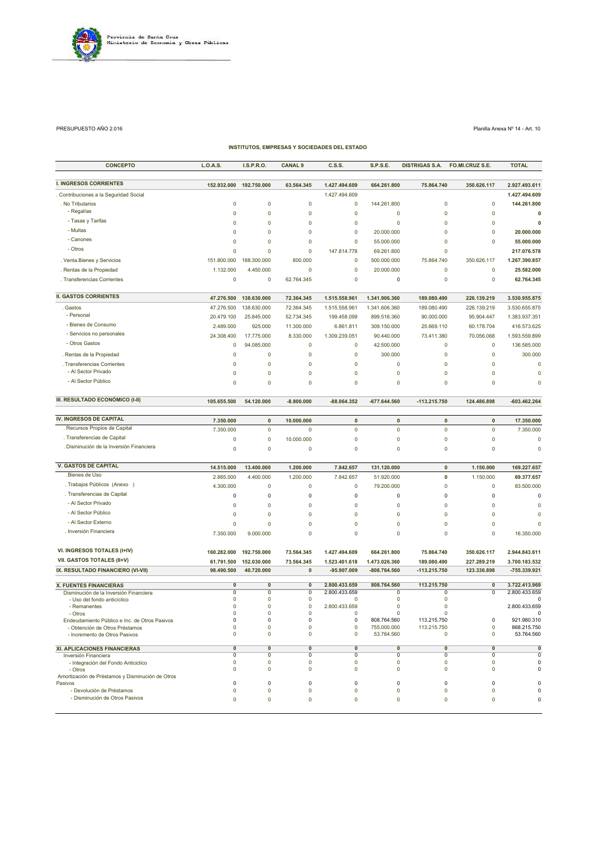

PRESUPUESTO AÑO 2.016 Planilla Anexa Nº 14 - Art. 10

| <b>INSTITUTOS, EMPRESAS Y SOCIEDADES DEL ESTADO</b>             |                            |                            |                  |                    |                            |                       |                  |                           |  |  |
|-----------------------------------------------------------------|----------------------------|----------------------------|------------------|--------------------|----------------------------|-----------------------|------------------|---------------------------|--|--|
| <b>CONCEPTO</b>                                                 | <b>L.O.A.S.</b>            | I.S.P.R.O.                 | <b>CANAL 9</b>   | C.S.S.             | <b>S.P.S.E.</b>            | <b>DISTRIGAS S.A.</b> | FO.MI.CRUZ S.E.  | <b>TOTAL</b>              |  |  |
| <b>I. INGRESOS CORRIENTES</b>                                   | 152.932.000                | 192.750.000                | 63.564.345       | 1.427.494.609      | 664.261.800                | 75.864.740            | 350.626.117      | 2.927.493.611             |  |  |
| . Contribuciones a la Seguridad Social                          |                            |                            |                  | 1.427.494.609      |                            |                       |                  | 1.427.494.609             |  |  |
| . No Tributarios                                                | $\mathbf 0$                | 0                          | 0                | $\mathbf 0$        | 144.261.800                | $\mathbf 0$           | $\mathbf 0$      | 144.261.800               |  |  |
| - Regalías                                                      | $\mathbf 0$                | $\mathbf 0$                | 0                | $\mathbf 0$        | $\mathbf 0$                | $\mathbf 0$           | $\mathbf 0$      | 0                         |  |  |
| - Tasas y Tarifas                                               | $\mathbf 0$                | $\mathbf 0$                | 0                | $\mathbf 0$        | $\mathbf 0$                | 0                     | $\mathbf 0$      | 0                         |  |  |
| - Multas                                                        | $\mathbf 0$                | 0                          | 0                | $\mathbf 0$        | 20.000.000                 | $\mathbf 0$           | $\mathbf 0$      | 20.000.000                |  |  |
| - Canones                                                       | $\mathbf 0$                | 0                          | 0                | 0                  | 55.000.000                 | 0                     | $\mathbf 0$      | 55.000.000                |  |  |
| - Otros                                                         | $\mathbf 0$                | 0                          | $\mathbf 0$      | 147.814.778        | 69.261.800                 | 0                     |                  | 217.076.578               |  |  |
| . Venta. Bienes y Servicios                                     | 151.800.000                | 188.300.000                | 800.000          | $\mathbf 0$        | 500.000.000                | 75.864.740            | 350.626.117      | 1.267.390.857             |  |  |
| . Rentas de la Propiedad                                        | 1.132.000                  | 4.450.000                  | 0                | $\mathbf 0$        | 20.000.000                 | $\pmb{0}$             | $\mathbf 0$      | 25.582.000                |  |  |
| . Transferencias Corrientes                                     | $\mathbf 0$                | 0                          | 62.764.345       | $\mathbf 0$        | 0                          | 0                     | $\mathbf 0$      | 62.764.345                |  |  |
| <b>II. GASTOS CORRIENTES</b>                                    | 47.276.500                 | 138.630.000                | 72.364.345       | 1.515.558.961      | 1.341.906.360              | 189.080.490           | 226.139.219      | 3.530.955.875             |  |  |
| . Gastos                                                        | 47.276.500                 | 138.630.000                | 72.364.345       | 1.515.558.961      | 1.341.606.360              | 189.080.490           | 226.139.219      | 3.530.655.875             |  |  |
| - Personal                                                      | 20.479.100                 | 25.845.000                 | 52.734.345       | 199.458.099        | 899.516.360                | 90.000.000            | 95.904.447       | 1.383.937.351             |  |  |
| - Bienes de Consumo                                             | 2.489.000                  | 925.000                    | 11.300.000       | 6.861.811          | 309.150.000                | 25.669.110            | 60.178.704       | 416.573.625               |  |  |
| - Servicios no personales                                       | 24.308.400                 | 17.775.000                 | 8.330.000        | 1.309.239.051      | 90.440.000                 | 73.411.380            | 70.056.068       | 1.593.559.899             |  |  |
| - Otros Gastos                                                  | $\mathbf 0$                | 94.085.000                 | 0                | $\mathbf 0$        | 42.500.000                 | 0                     | $\mathbf 0$      | 136.585.000               |  |  |
| . Rentas de la Propiedad                                        | $\mathbf 0$                | 0                          | 0                | $\mathbf 0$        | 300.000                    | 0                     | $\mathbf 0$      | 300.000                   |  |  |
| . Transferencias Corrientes                                     | $\mathbf 0$                | 0                          | $\mathbf 0$      | $\mathbf 0$        | 0                          | 0                     | $\mathbf 0$      | $\mathbf 0$               |  |  |
| - Al Sector Privado                                             | $\mathbf 0$                | $\mathbf 0$                | $\mathbf 0$      | 0                  | 0                          | 0                     | $\mathbf 0$      | $\mathbf 0$               |  |  |
| - Al Sector Público                                             | $\mathbf 0$                | $\mathbf 0$                | 0                | 0                  | 0                          | $\mathbf 0$           | $\mathbf 0$      | $\mathbf 0$               |  |  |
| III. RESULTADO ECONÓMICO (I-II)                                 | 105.655.500                | 54.120.000                 | $-8.800.000$     | $-88.064.352$      | -677.644.560               | -113.215.750          | 124.486.898      | $-603.462.264$            |  |  |
|                                                                 |                            |                            |                  |                    |                            |                       |                  |                           |  |  |
| <b>IV. INGRESOS DE CAPITAL</b>                                  | 7.350.000                  | $\pmb{0}$                  | 10.000.000       | $\pmb{0}$          | $\pmb{0}$                  | $\pmb{0}$             | $\pmb{0}$        | 17.350.000                |  |  |
| . Recursos Propios de Capital                                   | 7.350.000                  | $\pmb{0}$                  | 0                | $\pmb{0}$          | $\mathbf 0$                | $\mathbf 0$           | $\mathbf 0$      | 7.350.000                 |  |  |
| . Transferencias de Capital                                     | $\mathbf 0$                | 0                          | 10.000.000       | 0                  | 0                          | 0                     | $\mathbf 0$      | 0                         |  |  |
| . Disminución de la Inversión Financiera                        | $\overline{0}$             | $\mathbf 0$                | 0                | 0                  | 0                          | 0                     | $\mathbf 0$      | 0                         |  |  |
| <b>V. GASTOS DE CAPITAL</b>                                     | 14.515.000                 | 13.400.000                 | 1.200.000        | 7.842.657          | 131.120.000                | $\mathbf 0$           | 1.150.000        | 169.227.657               |  |  |
| .Bienes de Uso                                                  | 2.865.000                  | 4.400.000                  | 1.200.000        | 7.842.657          | 51.920.000                 | 0                     | 1.150.000        | 69.377.657                |  |  |
| . Trabajos Públicos (Anexo )                                    | 4.300.000                  | $\mathbf 0$                | 0                | $\pmb{0}$          | 79.200.000                 | $\mathbf 0$           | $\mathbf 0$      | 83.500.000                |  |  |
| . Transferencias de Capital                                     | 0                          | $\pmb{0}$                  | 0                | 0                  | 0                          | 0                     | $\mathsf 0$      | $\pmb{0}$                 |  |  |
| - Al Sector Privado                                             | $\mathbf 0$                | $\mathbf 0$                | 0                | 0                  | 0                          | $\mathbf 0$           | $\mathbf 0$      | $\mathbf 0$               |  |  |
| - Al Sector Público                                             | $\mathbf 0$                | 0                          | 0                | 0                  | 0                          | 0                     | $\mathbf 0$      | 0                         |  |  |
| - Al Sector Externo                                             | $\mathbf 0$                | $\mathbf 0$                | $\mathbf 0$      | $\mathbf 0$        | $\mathbf 0$                | 0                     | $\mathbf 0$      | $\mathbf 0$               |  |  |
| . Inversión Financiera                                          | 7.350.000                  | 9.000.000                  | $\mathbf 0$      | 0                  | $\mathbf 0$                | $\mathbf 0$           | $\mathbf 0$      | 16.350.000                |  |  |
| VI. INGRESOS TOTALES (I+IV)                                     | 160.282.000                | 192.750.000                | 73.564.345       | 1.427.494.609      | 664.261.800                | 75.864.740            | 350.626.117      | 2.944.843.611             |  |  |
| <b>VII. GASTOS TOTALES (II+V)</b>                               | 61.791.500                 | 152.030.000                | 73.564.345       | 1.523.401.618      | 1.473.026.360              | 189.080.490           | 227.289.219      | 3.700.183.532             |  |  |
| IX. RESULTADO FINANCIERO (VI-VII)                               | 98.490.500                 | 40.720.000                 | 0                | -95.907.009        | -808.764.560               | $-113.215.750$        | 123.336.898      | -755.339.921              |  |  |
| X. FUENTES FINANCIERAS                                          | $\mathbf{0}$               | $\overline{\mathbf{0}}$    | 0                | 2.800.433.659      | 808.764.560                | 113.215.750           | $\mathbf 0$      | 3.722.413.969             |  |  |
| Disminución de la Inversión Financiera                          | $\mathbf 0$                | $\overline{0}$             | 0                | 2.800.433.659      | $\Omega$                   | $\mathbf 0$           | $\overline{0}$   | 2.800.433.659             |  |  |
| - Uso del fondo anticíclico                                     | $\mathbf 0$                | 0                          | 0                | 0                  | 0                          | 0                     |                  | 0                         |  |  |
| - Remanentes<br>- Otros                                         | $\mathbf 0$<br>$\mathbf 0$ | $\mathbf 0$<br>$\mathbf 0$ | 0<br>$\Omega$    | 2.800.433.659<br>0 | $\mathbf 0$<br>$\mathbf 0$ | 0<br>$\mathbf 0$      |                  | 2.800.433.659<br>0        |  |  |
| Endeudamiento Público e Inc. de Otros Pasivos                   | $\mathbf 0$                | $\mathbf 0$                | 0                | 0                  | 808.764.560                | 113.215.750           | 0                | 921.980.310               |  |  |
| - Obtención de Otros Préstamos<br>- Incremento de Otros Pasivos | $\mathbf 0$<br>$\mathbf 0$ | $\mathbf 0$<br>$\mathbf 0$ | 0<br>0           | 0<br>0             | 755.000.000<br>53.764.560  | 113.215.750<br>0      | 0<br>$\mathbf 0$ | 868.215.750<br>53.764.560 |  |  |
| XI. APLICACIONES FINANCIERAS                                    | $\overline{\mathbf{0}}$    | $\overline{\mathbf{0}}$    | $\bf{0}$         | $\mathbf{0}$       | $\mathbf{0}$               | 0                     | $\mathbf{0}$     | $\overline{\mathbf{0}}$   |  |  |
| Inversión Financiera                                            | $\overline{0}$             | $\overline{0}$             | 0                | 0                  | 0                          | $\mathbf 0$           | $\mathbf 0$      | $\overline{0}$            |  |  |
| - Integración del Fondo Anticiclico                             | $\mathbf 0$<br>$\mathbf 0$ | 0<br>$\pmb{0}$             | 0<br>$\mathbf 0$ | 0<br>$\mathbf 0$   | 0<br>$\mathbf 0$           | 0<br>$\mathbf 0$      | 0<br>$\mathbf 0$ | $\Omega$<br>$\Omega$      |  |  |
| - Otros<br>Amortización de Préstamos y Disminución de Otros     |                            |                            |                  |                    |                            |                       |                  |                           |  |  |
| Pasivos                                                         | 0                          | 0                          | 0                | 0                  | 0                          | 0                     | 0                |                           |  |  |
| - Devolución de Préstamos                                       | $\mathbf 0$                | $\pmb{0}$                  | 0                | $\mathbf 0$        | $\mathbf 0$                | $\pmb{0}$             | $\mathbf 0$      | 0                         |  |  |
| - Disminución de Otros Pasivos                                  | 0                          | $\pmb{0}$                  | 0                | 0                  | 0                          | 0                     | $\mathbf 0$      | $\Omega$                  |  |  |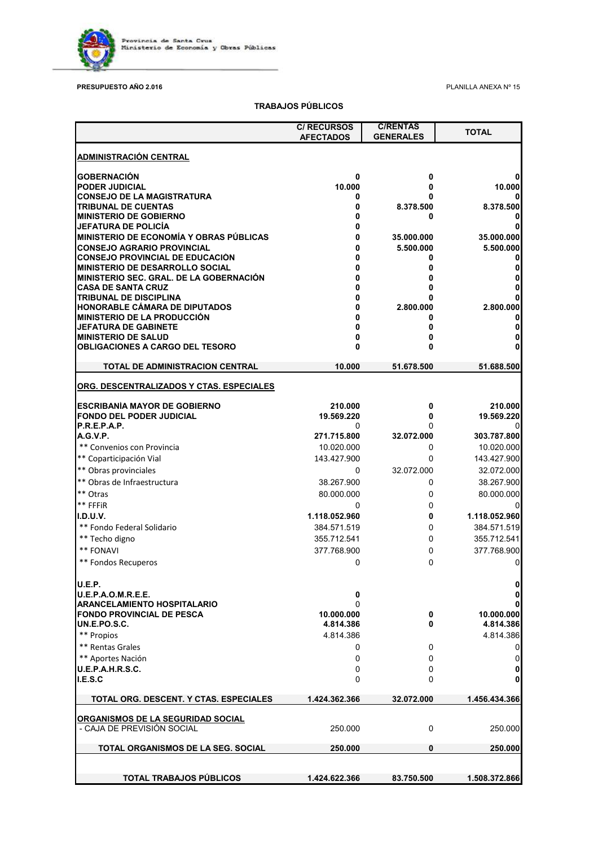

### **PRESUPUESTO AÑO 2.016** PLANILLA ANEXA Nº 15

### **TRABAJOS PÚBLICOS**

|                                                                 | <b>C/ RECURSOS</b><br><b>AFECTADOS</b> | <b>C/RENTAS</b><br><b>GENERALES</b> | <b>TOTAL</b>            |
|-----------------------------------------------------------------|----------------------------------------|-------------------------------------|-------------------------|
| <b>ADMINISTRACIÓN CENTRAL</b>                                   |                                        |                                     |                         |
| <b>GOBERNACIÓN</b>                                              | 0                                      | 0                                   |                         |
| PODER JUDICIAL                                                  | 10.000                                 | 0                                   | 10.000                  |
| <b>CONSEJO DE LA MAGISTRATURA</b>                               | 0                                      |                                     |                         |
| <b>TRIBUNAL DE CUENTAS</b>                                      | 0                                      | 8.378.500                           | 8.378.500               |
| <b>MINISTERIO DE GOBIERNO</b><br>JEFATURA DE POLICÍA            | 0<br>0                                 | 0                                   |                         |
| MINISTERIO DE ECONOMÍA Y OBRAS PÚBLICAS                         | 0                                      | 35.000.000                          | 35.000.000              |
| <b>CONSEJO AGRARIO PROVINCIAL</b>                               | 0                                      | 5.500.000                           | 5.500.000               |
| <b>CONSEJO PROVINCIAL DE EDUCACIÓN</b>                          | 0                                      | 0                                   | 0                       |
| <b>MINISTERIO DE DESARROLLO SOCIAL</b>                          | 0                                      | 0                                   |                         |
| <b>MINISTERIO SEC. GRAL. DE LA GOBERNACIÓN</b>                  | 0                                      | 0                                   |                         |
| <b>CASA DE SANTA CRUZ</b>                                       |                                        | 0                                   |                         |
| <b>TRIBUNAL DE DISCIPLINA</b><br>HONORABLE CÁMARA DE DIPUTADOS  | n<br>0                                 | U                                   |                         |
| MINISTERIO DE LA PRODUCCIÓN                                     | N                                      | 2.800.000<br>0                      | 2.800.000               |
| <b>JEFATURA DE GABINETE</b>                                     | U                                      | 0                                   |                         |
| <b>MINISTERIO DE SALUD</b>                                      | 0                                      | 0                                   |                         |
| <b>OBLIGACIONES A CARGO DEL TESORO</b>                          | U                                      | 0                                   |                         |
| TOTAL DE ADMINISTRACION CENTRAL                                 | 10.000                                 | 51.678.500                          | 51.688.500              |
| ORG. DESCENTRALIZADOS Y CTAS. ESPECIALES                        |                                        |                                     |                         |
| <b>ESCRIBANÍA MAYOR DE GOBIERNO</b>                             | 210.000                                | 0                                   | 210.000                 |
| <b>FONDO DEL PODER JUDICIAL</b>                                 | 19.569.220                             | 0                                   | 19.569.220              |
| P.R.E.P.A.P.                                                    | 0                                      |                                     |                         |
| <b>A.G.V.P.</b>                                                 | 271.715.800                            | 32.072.000                          | 303.787.800             |
| ** Convenios con Provincia                                      | 10.020.000                             | 0                                   | 10.020.000              |
| ** Coparticipación Vial                                         | 143.427.900                            | 0                                   | 143.427.900             |
| ** Obras provinciales                                           | 0                                      | 32.072.000                          | 32.072.000              |
| ** Obras de Infraestructura                                     | 38.267.900                             | 0                                   | 38.267.900              |
| ** Otras                                                        | 80.000.000                             | 0                                   | 80.000.000              |
| ** FFFiR                                                        | 0                                      | 0                                   |                         |
| I.D.U.V.                                                        | 1.118.052.960                          | 0                                   | 1.118.052.960           |
| ** Fondo Federal Solidario                                      | 384.571.519                            | 0                                   | 384.571.519             |
| ** Techo digno                                                  | 355.712.541                            | 0                                   | 355.712.541             |
| ** FONAVI                                                       | 377.768.900                            | 0                                   | 377.768.900             |
| ** Fondos Recuperos                                             | 0                                      | 0                                   | 0                       |
| U.E.P.                                                          |                                        |                                     | 0                       |
| <b>U.E.P.A.O.M.R.E.E.</b>                                       | 0                                      |                                     | 0                       |
| <b>ARANCELAMIENTO HOSPITALARIO</b>                              | 0                                      |                                     |                         |
| <b>FONDO PROVINCIAL DE PESCA</b><br>UN.E.PO.S.C.                | 10.000.000<br>4.814.386                | 0<br>0                              | 10.000.000<br>4.814.386 |
| ** Propios                                                      | 4.814.386                              |                                     | 4.814.386               |
| ** Rentas Grales                                                | 0                                      | 0                                   | 0                       |
| ** Aportes Nación                                               | 0                                      | 0                                   | 0                       |
| <b>U.E.P.A.H.R.S.C.</b>                                         | 0                                      | 0                                   | 0                       |
| I.E.S.C                                                         | 0                                      | 0                                   | 0                       |
| TOTAL ORG. DESCENT. Y CTAS. ESPECIALES                          | 1.424.362.366                          | 32.072.000                          | 1.456.434.366           |
|                                                                 |                                        |                                     |                         |
| ORGANISMOS DE LA SEGURIDAD SOCIAL<br>- CAJA DE PREVISION SOCIAL | 250.000                                | 0                                   | 250.000                 |
| TOTAL ORGANISMOS DE LA SEG. SOCIAL                              | 250.000                                | 0                                   | 250.000                 |
|                                                                 |                                        |                                     |                         |
| <b>TOTAL TRABAJOS PUBLICOS</b>                                  | 1.424.622.366                          | 83.750.500                          | 1.508.372.866           |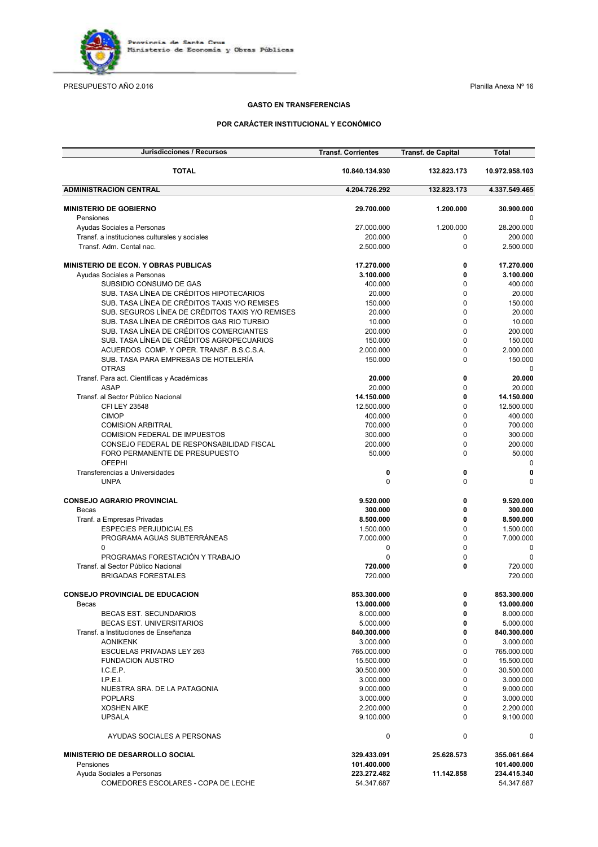

PRESUPUESTO AÑO 2.016 **Planilla Anexa Nº 16** Planilla Anexa Nº 16

### **GASTO EN TRANSFERENCIAS**

### **POR CARÁCTER INSTITUCIONAL Y ECONÓMICO**

| Jurisdicciones / Recursos                                                   | <b>Transf. Corrientes</b> | <b>Transf. de Capital</b>  | <b>Total</b>            |
|-----------------------------------------------------------------------------|---------------------------|----------------------------|-------------------------|
| <b>TOTAL</b>                                                                | 10.840.134.930            | 132.823.173                | 10.972.958.103          |
| <b>ADMINISTRACION CENTRAL</b>                                               | 4.204.726.292             | 132.823.173                | 4.337.549.465           |
| <b>MINISTERIO DE GOBIERNO</b>                                               | 29.700.000                | 1.200.000                  | 30.900.000              |
| Pensiones                                                                   |                           |                            | 0                       |
| Ayudas Sociales a Personas                                                  | 27.000.000                | 1.200.000                  | 28.200.000              |
| Transf. a instituciones culturales y sociales                               | 200.000                   | 0                          | 200.000                 |
| Transf. Adm. Cental nac.                                                    | 2.500.000                 | $\mathbf 0$                | 2.500.000               |
|                                                                             |                           |                            |                         |
| <b>MINISTERIO DE ECON. Y OBRAS PUBLICAS</b>                                 | 17.270.000                | 0                          | 17.270.000              |
| Ayudas Sociales a Personas<br>SUBSIDIO CONSUMO DE GAS                       | 3.100.000                 | 0<br>$\mathbf 0$           | 3.100.000<br>400.000    |
| SUB. TASA LÍNEA DE CRÉDITOS HIPOTECARIOS                                    | 400.000<br>20.000         | $\mathbf 0$                | 20.000                  |
| SUB. TASA LÍNEA DE CRÉDITOS TAXIS Y/O REMISES                               | 150.000                   | 0                          | 150.000                 |
| SUB. SEGUROS LÍNEA DE CRÉDITOS TAXIS Y/O REMISES                            | 20.000                    | $\mathbf 0$                | 20.000                  |
| SUB. TASA LÍNEA DE CRÉDITOS GAS RIO TURBIO                                  | 10.000                    | $\mathbf 0$                | 10.000                  |
| SUB. TASA LÍNEA DE CRÉDITOS COMERCIANTES                                    | 200.000                   | $\mathbf 0$                | 200.000                 |
| SUB. TASA LÍNEA DE CRÉDITOS AGROPECUARIOS                                   | 150.000                   | $\mathbf 0$                | 150.000                 |
| ACUERDOS COMP. Y OPER. TRANSF. B.S.C.S.A.                                   | 2.000.000                 | 0                          | 2.000.000               |
| SUB. TASA PARA EMPRESAS DE HOTELERÍA                                        | 150.000                   | $\mathbf 0$                | 150.000                 |
| <b>OTRAS</b>                                                                |                           |                            | 0                       |
| Transf. Para act. Científicas y Académicas                                  | 20.000                    | 0                          | 20.000                  |
| <b>ASAP</b>                                                                 | 20.000                    | 0                          | 20.000                  |
| Transf. al Sector Público Nacional                                          | 14.150.000                | $\mathbf{0}$               | 14.150.000              |
| CFI LEY 23548                                                               | 12.500.000                | 0                          | 12.500.000              |
| <b>CIMOP</b>                                                                | 400.000                   | $\mathbf 0$                | 400.000                 |
| <b>COMISION ARBITRAL</b>                                                    | 700.000                   | $\mathbf 0$                | 700.000                 |
| COMISION FEDERAL DE IMPUESTOS                                               | 300.000<br>200.000        | $\mathbf 0$<br>$\mathbf 0$ | 300.000<br>200.000      |
| CONSEJO FEDERAL DE RESPONSABILIDAD FISCAL<br>FORO PERMANENTE DE PRESUPUESTO | 50.000                    | 0                          | 50.000                  |
| <b>OFEPHI</b>                                                               |                           |                            | 0                       |
| Transferencias a Universidades                                              | 0                         | 0                          | 0                       |
| <b>UNPA</b>                                                                 | $\Omega$                  | $\Omega$                   | 0                       |
|                                                                             |                           |                            |                         |
| <b>CONSEJO AGRARIO PROVINCIAL</b>                                           | 9.520.000<br>300.000      | 0<br>0                     | 9.520.000<br>300.000    |
| Becas<br>Tranf. a Empresas Privadas                                         | 8.500.000                 | 0                          | 8.500.000               |
| <b>ESPECIES PERJUDICIALES</b>                                               | 1.500.000                 | $\mathbf 0$                | 1.500.000               |
| PROGRAMA AGUAS SUBTERRANEAS                                                 | 7.000.000                 | $\mathbf 0$                | 7.000.000               |
| 0                                                                           | 0                         | $\mathbf 0$                | 0                       |
| PROGRAMAS FORESTACIÓN Y TRABAJO                                             | 0                         | 0                          | 0                       |
| Transf. al Sector Público Nacional                                          | 720.000                   | 0                          | 720.000                 |
| <b>BRIGADAS FORESTALES</b>                                                  | 720.000                   |                            | 720.000                 |
|                                                                             |                           |                            |                         |
| <b>CONSEJO PROVINCIAL DE EDUCACION</b>                                      | 853.300.000               | 0<br>$\mathbf 0$           | 853.300.000             |
| Becas<br><b>BECAS EST. SECUNDARIOS</b>                                      | 13.000.000<br>8.000.000   | 0                          | 13.000.000<br>8.000.000 |
| <b>BECAS EST. UNIVERSITARIOS</b>                                            | 5.000.000                 | 0                          | 5.000.000               |
| Transf. a Instituciones de Enseñanza                                        | 840.300.000               | $\mathbf 0$                | 840.300.000             |
| <b>AONIKENK</b>                                                             | 3.000.000                 | $\mathbf 0$                | 3.000.000               |
| ESCUELAS PRIVADAS LEY 263                                                   | 765.000.000               | $\Omega$                   | 765.000.000             |
| <b>FUNDACION AUSTRO</b>                                                     | 15.500.000                | $\mathbf 0$                | 15.500.000              |
| I.C.E.P.                                                                    | 30.500.000                | $\mathbf 0$                | 30.500.000              |
| L.P.E.L.                                                                    | 3.000.000                 | $\mathbf 0$                | 3.000.000               |
| NUESTRA SRA. DE LA PATAGONIA                                                | 9.000.000                 | $\mathbf 0$                | 9.000.000               |
| <b>POPLARS</b>                                                              | 3.000.000                 | $\mathbf 0$                | 3.000.000               |
| <b>XOSHEN AIKE</b>                                                          | 2.200.000                 | $\mathbf 0$                | 2.200.000               |
| <b>UPSALA</b>                                                               | 9.100.000                 | $\Omega$                   | 9.100.000               |
| AYUDAS SOCIALES A PERSONAS                                                  | 0                         | 0                          | 0                       |
| <b>MINISTERIO DE DESARROLLO SOCIAL</b>                                      | 329.433.091               | 25.628.573                 | 355.061.664             |
| Pensiones                                                                   | 101.400.000               |                            | 101.400.000             |
| Ayuda Sociales a Personas                                                   | 223.272.482               | 11.142.858                 | 234.415.340             |
| COMEDORES ESCOLARES - COPA DE LECHE                                         | 54.347.687                |                            | 54.347.687              |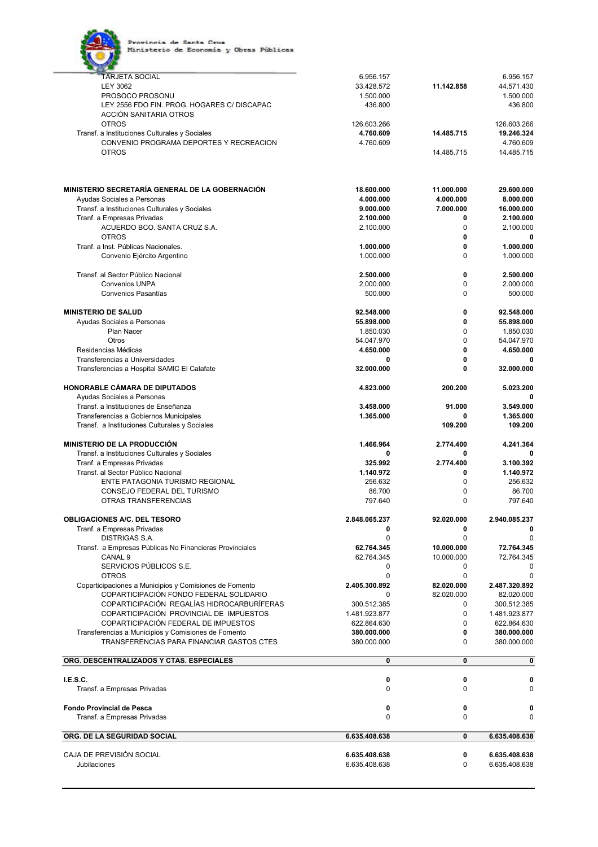

| <b>TARJETA SOCIAL</b>                                   | 6.956.157                      |             | 6.956.157                      |
|---------------------------------------------------------|--------------------------------|-------------|--------------------------------|
| <b>LEY 3062</b>                                         | 33.428.572                     | 11.142.858  | 44.571.430                     |
| PROSOCO PROSONU                                         | 1.500.000                      |             | 1.500.000                      |
| LEY 2556 FDO FIN. PROG. HOGARES C/ DISCAPAC             | 436.800                        |             | 436.800                        |
| ACCIÓN SANITARIA OTROS                                  |                                |             |                                |
| <b>OTROS</b>                                            | 126.603.266                    |             | 126.603.266                    |
| Transf. a Instituciones Culturales y Sociales           | 4.760.609                      | 14.485.715  | 19.246.324                     |
|                                                         |                                |             |                                |
| CONVENIO PROGRAMA DEPORTES Y RECREACION                 | 4.760.609                      |             | 4.760.609                      |
| <b>OTROS</b>                                            |                                | 14.485.715  | 14.485.715                     |
|                                                         |                                |             |                                |
| MINISTERIO SECRETARÍA GENERAL DE LA GOBERNACIÓN         | 18.600.000                     | 11.000.000  | 29.600.000                     |
| Ayudas Sociales a Personas                              | 4.000.000                      | 4.000.000   | 8.000.000                      |
| Transf. a Instituciones Culturales y Sociales           | 9.000.000                      | 7.000.000   | 16.000.000                     |
| Tranf. a Empresas Privadas                              | 2.100.000                      | 0           | 2.100.000                      |
| ACUERDO BCO. SANTA CRUZ S.A.                            | 2.100.000                      | $\Omega$    | 2.100.000                      |
| <b>OTROS</b>                                            |                                | 0           | 0                              |
|                                                         |                                | 0           |                                |
| Tranf. a Inst. Públicas Nacionales.                     | 1.000.000                      |             | 1.000.000                      |
| Convenio Ejército Argentino                             | 1.000.000                      | $\Omega$    | 1.000.000                      |
| Transf. al Sector Público Nacional                      | 2.500.000                      | 0           | 2.500.000                      |
| <b>Convenios UNPA</b>                                   | 2.000.000                      | 0           | 2.000.000                      |
| Convenios Pasantías                                     | 500.000                        | $\Omega$    | 500.000                        |
| <b>MINISTERIO DE SALUD</b>                              | 92.548.000                     | 0           | 92.548.000                     |
|                                                         |                                |             |                                |
| Ayudas Sociales a Personas                              | 55.898.000                     | $\mathbf 0$ | 55.898.000                     |
| Plan Nacer                                              | 1.850.030                      | 0           | 1.850.030                      |
| Otros                                                   | 54.047.970                     | $\Omega$    | 54.047.970                     |
| Residencias Médicas                                     | 4.650.000                      | 0           | 4.650.000                      |
| Transferencias a Universidades                          | 0                              | 0           |                                |
| Transferencias a Hospital SAMIC El Calafate             | 32.000.000                     | 0           | 32.000.000                     |
| HONORABLE CÁMARA DE DIPUTADOS                           | 4.823.000                      | 200.200     | 5.023.200                      |
| Ayudas Sociales a Personas                              |                                |             | 0                              |
| Transf. a Instituciones de Enseñanza                    | 3.458.000                      | 91.000      | 3.549.000                      |
| Transferencias a Gobiernos Municipales                  | 1.365.000                      | 0           | 1.365.000                      |
| Transf. a Instituciones Culturales y Sociales           |                                | 109.200     | 109.200                        |
|                                                         |                                |             |                                |
| <b>MINISTERIO DE LA PRODUCCIÓN</b>                      | 1.466.964                      | 2.774.400   | 4.241.364                      |
| Transf. a Instituciones Culturales y Sociales           | 0                              | 0           | 0                              |
| Tranf. a Empresas Privadas                              | 325.992                        | 2.774.400   | 3.100.392                      |
| Transf. al Sector Público Nacional                      | 1.140.972                      | 0           | 1.140.972                      |
| ENTE PATAGONIA TURISMO REGIONAL                         | 256.632                        | $\Omega$    | 256.632                        |
| CONSEJO FEDERAL DEL TURISMO                             | 86.700                         | 0           | 86.700                         |
| OTRAS TRANSFERENCIAS                                    | 797.640                        | $\Omega$    | 797.640                        |
|                                                         |                                |             |                                |
| <b>OBLIGACIONES A/C. DEL TESORO</b>                     | 2.848.065.237                  | 92.020.000  | 2.940.085.237                  |
| Tranf. a Empresas Privadas                              | 0                              | 0           |                                |
| <b>DISTRIGAS S.A.</b>                                   | 0                              | 0           | $\Omega$                       |
| Transf. a Empresas Públicas No Financieras Provinciales | 62.764.345                     | 10.000.000  | 72.764.345                     |
| CANAL <sub>9</sub>                                      | 62.764.345                     | 10.000.000  | 72.764.345                     |
| SERVICIOS PÚBLICOS S.E.                                 | 0                              | 0           | 0                              |
| <b>OTROS</b>                                            | 0                              | 0           | $\mathbf 0$                    |
| Coparticipaciones a Municipios y Comisiones de Fomento  | 2.405.300.892                  | 82.020.000  | 2.487.320.892                  |
| COPARTICIPACIÓN FONDO FEDERAL SOLIDARIO                 | 0                              | 82.020.000  | 82.020.000                     |
| COPARTICIPACIÓN REGALÍAS HIDROCARBURÍFERAS              | 300.512.385                    | $\Omega$    | 300.512.385                    |
|                                                         |                                |             |                                |
| COPARTICIPACIÓN PROVINCIAL DE IMPUESTOS                 | 1.481.923.877                  | $\Omega$    | 1.481.923.877                  |
| COPARTICIPACIÓN FEDERAL DE IMPUESTOS                    | 622.864.630                    | 0           | 622.864.630                    |
| Transferencias a Municipios y Comisiones de Fomento     |                                |             |                                |
|                                                         | 380.000.000                    | 0           | 380.000.000                    |
| TRANSFERENCIAS PARA FINANCIAR GASTOS CTES               | 380.000.000                    | $\Omega$    | 380.000.000                    |
| ORG. DESCENTRALIZADOS Y CTAS. ESPECIALES                | 0                              | $\mathbf 0$ | $\pmb{0}$                      |
|                                                         |                                |             |                                |
| I.E.S.C.                                                | 0                              | 0           | 0                              |
| Transf. a Empresas Privadas                             | 0                              | 0           | $\Omega$                       |
|                                                         |                                |             |                                |
| <b>Fondo Provincial de Pesca</b>                        | 0                              | 0           | 0                              |
| Transf. a Empresas Privadas                             | 0                              | 0           | 0                              |
|                                                         |                                |             |                                |
| ORG. DE LA SEGURIDAD SOCIAL                             | 6.635.408.638                  | 0           | 6.635.408.638                  |
| CAJA DE PREVISIÓN SOCIAL<br><b>Jubilaciones</b>         | 6.635.408.638<br>6.635.408.638 | 0<br>0      | 6.635.408.638<br>6.635.408.638 |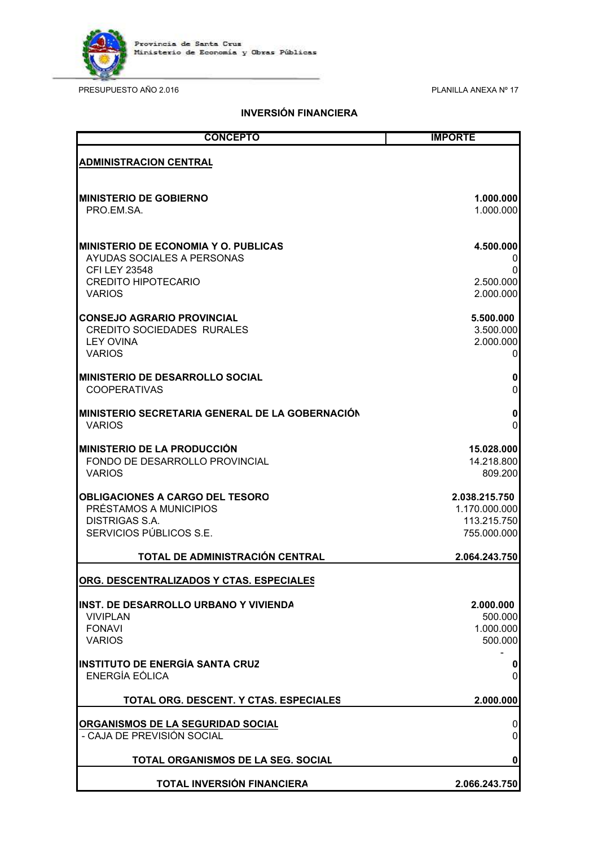

PRESUPUESTO AÑO 2.016 CONSTRUITION AND 2.016

## **INVERSIÓN FINANCIERA**

| <b>CONCEPTO</b>                                  | <b>IMPORTE</b> |
|--------------------------------------------------|----------------|
| <b>ADMINISTRACION CENTRAL</b>                    |                |
| <b>MINISTERIO DE GOBIERNO</b>                    | 1.000.000      |
| PRO.EM.SA.                                       | 1.000.000      |
| <b>IMINISTERIO DE ECONOMIA Y O. PUBLICAS</b>     | 4.500.000      |
| AYUDAS SOCIALES A PERSONAS                       | 0              |
| <b>CFI LEY 23548</b>                             | 0              |
| <b>CREDITO HIPOTECARIO</b>                       | 2.500.000      |
| <b>VARIOS</b>                                    | 2.000.000      |
| <b>CONSEJO AGRARIO PROVINCIAL</b>                | 5.500.000      |
| <b>CREDITO SOCIEDADES RURALES</b>                | 3.500.000      |
| <b>LEY OVINA</b>                                 | 2.000.000      |
| <b>VARIOS</b>                                    | $\overline{0}$ |
| <b>MINISTERIO DE DESARROLLO SOCIAL</b>           | $\pmb{0}$      |
| <b>COOPERATIVAS</b>                              | $\mathsf 0$    |
| MINISTERIO SECRETARIA GENERAL DE LA GOBERNACIÓN  | $\pmb{0}$      |
| <b>VARIOS</b>                                    | 0              |
| <b>MINISTERIO DE LA PRODUCCIÓN</b>               | 15.028.000     |
| FONDO DE DESARROLLO PROVINCIAL                   | 14.218.800     |
| <b>VARIOS</b>                                    | 809.200        |
| <b>OBLIGACIONES A CARGO DEL TESORO</b>           | 2.038.215.750  |
| PRÉSTAMOS A MUNICIPIOS                           | 1.170.000.000  |
| <b>DISTRIGAS S.A.</b>                            | 113.215.750    |
| SERVICIOS PÚBLICOS S.E.                          | 755.000.000    |
| TOTAL DE ADMINISTRACIÓN CENTRAL                  | 2.064.243.750  |
| <u> ORG. DESCENTRALIZADOS Y CTAS. ESPECIALES</u> |                |
| <b>INST. DE DESARROLLO URBANO Y VIVIENDA</b>     | 2.000.000      |
| <b>VIVIPLAN</b>                                  | 500.000        |
| <b>FONAVI</b>                                    | 1.000.000      |
| <b>VARIOS</b>                                    | 500.000        |
| <b>INSTITUTO DE ENERGÍA SANTA CRUZ</b>           | $\mathbf{0}$   |
| ENERGÍA EÓLICA                                   | $\overline{0}$ |
| TOTAL ORG. DESCENT. Y CTAS. ESPECIALES           | 2.000.000      |
| ORGANISMOS DE LA SEGURIDAD SOCIAL                | $\overline{0}$ |
| - CAJA DE PREVISIÓN SOCIAL                       | $\overline{0}$ |
| TOTAL ORGANISMOS DE LA SEG. SOCIAL               | $\mathbf{0}$   |
| TOTAL INVERSIÓN FINANCIERA                       | 2.066.243.750  |